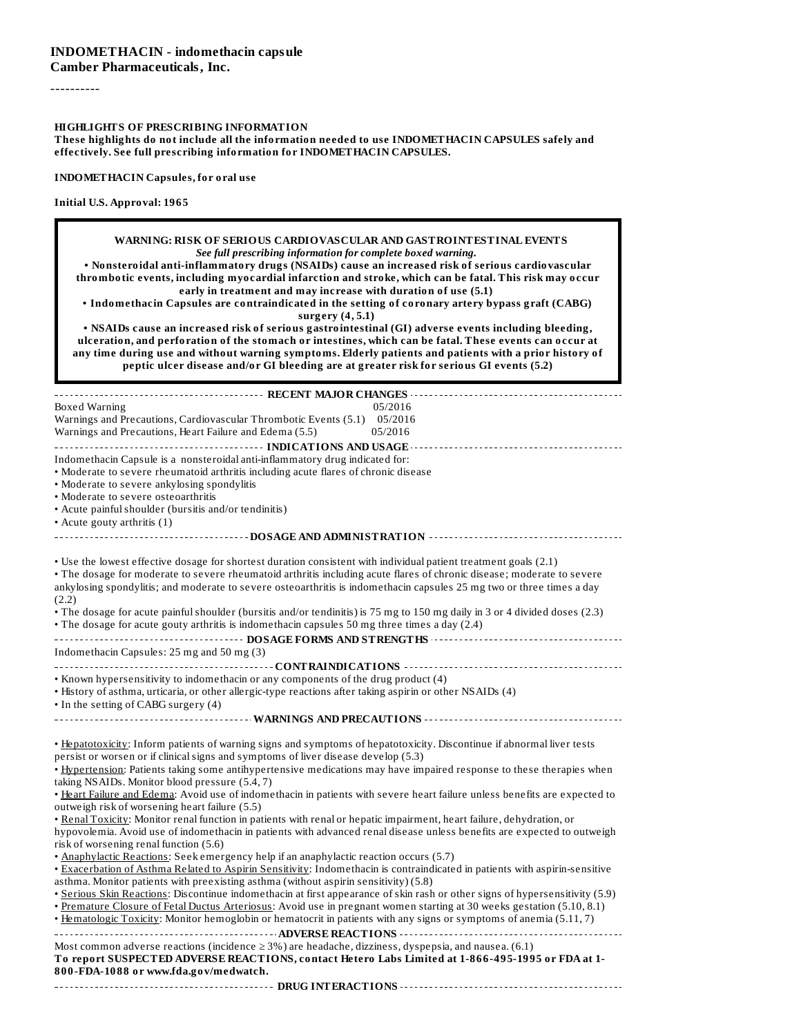----------

**HIGHLIGHTS OF PRESCRIBING INFORMATION**

**These highlights do not include all the information needed to use INDOMETHACIN CAPSULES safely and effectively. See full prescribing information for INDOMETHACIN CAPSULES.**

**INDOMETHACIN Capsules, for oral use**

| WARNING: RISK OF SERIOUS CARDIOVASCULAR AND GASTROINTESTINAL EVENTS<br>See full prescribing information for complete boxed warning.<br>. Nonsteroidal anti-inflammatory drugs (NSAIDs) cause an increased risk of serious cardiovascular<br>thrombotic events, including myocardial infarction and stroke, which can be fatal. This risk may occur<br>early in treatment and may increase with duration of use (5.1)<br>• Indomethacin Capsules are contraindicated in the setting of coronary artery bypass graft (CABG)<br>surgery (4, 5.1)<br>. NSAIDs cause an increased risk of serious gastrointestinal (GI) adverse events including bleeding,<br>ulceration, and perforation of the stomach or intestines, which can be fatal. These events can occur at<br>any time during use and without warning symptoms. Elderly patients and patients with a prior history of<br>peptic ulcer disease and/or GI bleeding are at greater risk for serious GI events (5.2) |         |
|------------------------------------------------------------------------------------------------------------------------------------------------------------------------------------------------------------------------------------------------------------------------------------------------------------------------------------------------------------------------------------------------------------------------------------------------------------------------------------------------------------------------------------------------------------------------------------------------------------------------------------------------------------------------------------------------------------------------------------------------------------------------------------------------------------------------------------------------------------------------------------------------------------------------------------------------------------------------|---------|
|                                                                                                                                                                                                                                                                                                                                                                                                                                                                                                                                                                                                                                                                                                                                                                                                                                                                                                                                                                        |         |
| Boxed Warning                                                                                                                                                                                                                                                                                                                                                                                                                                                                                                                                                                                                                                                                                                                                                                                                                                                                                                                                                          | 05/2016 |
| Warnings and Precautions, Cardiovascular Thrombotic Events (5.1) 05/2016                                                                                                                                                                                                                                                                                                                                                                                                                                                                                                                                                                                                                                                                                                                                                                                                                                                                                               |         |
| Warnings and Precautions, Heart Failure and Edema (5.5)                                                                                                                                                                                                                                                                                                                                                                                                                                                                                                                                                                                                                                                                                                                                                                                                                                                                                                                | 05/2016 |
|                                                                                                                                                                                                                                                                                                                                                                                                                                                                                                                                                                                                                                                                                                                                                                                                                                                                                                                                                                        |         |
| Indomethacin Capsule is a nonsteroidal anti-inflammatory drug indicated for:                                                                                                                                                                                                                                                                                                                                                                                                                                                                                                                                                                                                                                                                                                                                                                                                                                                                                           |         |
| • Moderate to severe rheumatoid arthritis including acute flares of chronic disease                                                                                                                                                                                                                                                                                                                                                                                                                                                                                                                                                                                                                                                                                                                                                                                                                                                                                    |         |
| • Moderate to severe ankylosing spondylitis                                                                                                                                                                                                                                                                                                                                                                                                                                                                                                                                                                                                                                                                                                                                                                                                                                                                                                                            |         |
| • Moderate to severe osteoarthritis                                                                                                                                                                                                                                                                                                                                                                                                                                                                                                                                                                                                                                                                                                                                                                                                                                                                                                                                    |         |
| • Acute painful shoulder (bursitis and/or tendinitis)                                                                                                                                                                                                                                                                                                                                                                                                                                                                                                                                                                                                                                                                                                                                                                                                                                                                                                                  |         |
| • Acute gouty arthritis $(1)$                                                                                                                                                                                                                                                                                                                                                                                                                                                                                                                                                                                                                                                                                                                                                                                                                                                                                                                                          |         |
|                                                                                                                                                                                                                                                                                                                                                                                                                                                                                                                                                                                                                                                                                                                                                                                                                                                                                                                                                                        |         |
|                                                                                                                                                                                                                                                                                                                                                                                                                                                                                                                                                                                                                                                                                                                                                                                                                                                                                                                                                                        |         |
| • Use the lowest effective dosage for shortest duration consistent with individual patient treatment goals (2.1)                                                                                                                                                                                                                                                                                                                                                                                                                                                                                                                                                                                                                                                                                                                                                                                                                                                       |         |
| • The dosage for moderate to severe rheumatoid arthritis including acute flares of chronic disease; moderate to severe                                                                                                                                                                                                                                                                                                                                                                                                                                                                                                                                                                                                                                                                                                                                                                                                                                                 |         |
| ankylosing spondylitis; and moderate to severe osteoarthritis is indomethacin capsules 25 mg two or three times a day                                                                                                                                                                                                                                                                                                                                                                                                                                                                                                                                                                                                                                                                                                                                                                                                                                                  |         |
| (2.2)                                                                                                                                                                                                                                                                                                                                                                                                                                                                                                                                                                                                                                                                                                                                                                                                                                                                                                                                                                  |         |
| • The dosage for acute painful shoulder (bursitis and/or tendinitis) is 75 mg to 150 mg daily in 3 or 4 divided doses (2.3)                                                                                                                                                                                                                                                                                                                                                                                                                                                                                                                                                                                                                                                                                                                                                                                                                                            |         |
| • The dosage for acute gouty arthritis is indomethacin capsules 50 mg three times a day (2.4)                                                                                                                                                                                                                                                                                                                                                                                                                                                                                                                                                                                                                                                                                                                                                                                                                                                                          |         |
|                                                                                                                                                                                                                                                                                                                                                                                                                                                                                                                                                                                                                                                                                                                                                                                                                                                                                                                                                                        |         |
| Indomethacin Capsules: 25 mg and 50 mg (3)                                                                                                                                                                                                                                                                                                                                                                                                                                                                                                                                                                                                                                                                                                                                                                                                                                                                                                                             |         |
|                                                                                                                                                                                                                                                                                                                                                                                                                                                                                                                                                                                                                                                                                                                                                                                                                                                                                                                                                                        |         |
| • Known hypersensitivity to indomethacin or any components of the drug product (4)                                                                                                                                                                                                                                                                                                                                                                                                                                                                                                                                                                                                                                                                                                                                                                                                                                                                                     |         |
| · History of asthma, urticaria, or other allergic-type reactions after taking aspirin or other NSAIDs (4)                                                                                                                                                                                                                                                                                                                                                                                                                                                                                                                                                                                                                                                                                                                                                                                                                                                              |         |
| • In the setting of CABG surgery (4)                                                                                                                                                                                                                                                                                                                                                                                                                                                                                                                                                                                                                                                                                                                                                                                                                                                                                                                                   |         |
|                                                                                                                                                                                                                                                                                                                                                                                                                                                                                                                                                                                                                                                                                                                                                                                                                                                                                                                                                                        |         |
|                                                                                                                                                                                                                                                                                                                                                                                                                                                                                                                                                                                                                                                                                                                                                                                                                                                                                                                                                                        |         |
| . Hepatotoxicity: Inform patients of warning signs and symptoms of hepatotoxicity. Discontinue if abnormal liver tests<br>persist or worsen or if clinical signs and symptoms of liver disease develop (5.3)                                                                                                                                                                                                                                                                                                                                                                                                                                                                                                                                                                                                                                                                                                                                                           |         |
| . Hypertension: Patients taking some antihypertensive medications may have impaired response to these therapies when                                                                                                                                                                                                                                                                                                                                                                                                                                                                                                                                                                                                                                                                                                                                                                                                                                                   |         |
| taking NSAIDs. Monitor blood pressure (5.4, 7)                                                                                                                                                                                                                                                                                                                                                                                                                                                                                                                                                                                                                                                                                                                                                                                                                                                                                                                         |         |
| . Heart Failure and Edema: Avoid use of indomethacin in patients with severe heart failure unless benefits are expected to                                                                                                                                                                                                                                                                                                                                                                                                                                                                                                                                                                                                                                                                                                                                                                                                                                             |         |
| outweigh risk of worsening heart failure (5.5)                                                                                                                                                                                                                                                                                                                                                                                                                                                                                                                                                                                                                                                                                                                                                                                                                                                                                                                         |         |
| . Renal Toxicity: Monitor renal function in patients with renal or hepatic impairment, heart failure, dehydration, or                                                                                                                                                                                                                                                                                                                                                                                                                                                                                                                                                                                                                                                                                                                                                                                                                                                  |         |
| hypovolemia. Avoid use of indomethacin in patients with advanced renal disease unless benefits are expected to outweigh                                                                                                                                                                                                                                                                                                                                                                                                                                                                                                                                                                                                                                                                                                                                                                                                                                                |         |
| risk of worsening renal function (5.6)                                                                                                                                                                                                                                                                                                                                                                                                                                                                                                                                                                                                                                                                                                                                                                                                                                                                                                                                 |         |
| · Anaphylactic Reactions: Seek emergency help if an anaphylactic reaction occurs (5.7)                                                                                                                                                                                                                                                                                                                                                                                                                                                                                                                                                                                                                                                                                                                                                                                                                                                                                 |         |
| . Exacerbation of Asthma Related to Aspirin Sensitivity: Indomethacin is contraindicated in patients with aspirin-sensitive                                                                                                                                                                                                                                                                                                                                                                                                                                                                                                                                                                                                                                                                                                                                                                                                                                            |         |
| asthma. Monitor patients with preexisting asthma (without aspirin sensitivity) (5.8)                                                                                                                                                                                                                                                                                                                                                                                                                                                                                                                                                                                                                                                                                                                                                                                                                                                                                   |         |
| • Serious Skin Reactions: Discontinue indomethacin at first appearance of skin rash or other signs of hypersensitivity (5.9)                                                                                                                                                                                                                                                                                                                                                                                                                                                                                                                                                                                                                                                                                                                                                                                                                                           |         |
| . Premature Closure of Fetal Ductus Arteriosus: Avoid use in pregnant women starting at 30 weeks gestation (5.10, 8.1)                                                                                                                                                                                                                                                                                                                                                                                                                                                                                                                                                                                                                                                                                                                                                                                                                                                 |         |
| • Hematologic Toxicity: Monitor hemoglobin or hematocrit in patients with any signs or symptoms of anemia (5.11, 7)                                                                                                                                                                                                                                                                                                                                                                                                                                                                                                                                                                                                                                                                                                                                                                                                                                                    |         |
|                                                                                                                                                                                                                                                                                                                                                                                                                                                                                                                                                                                                                                                                                                                                                                                                                                                                                                                                                                        |         |
| Most common adverse reactions (incidence $\geq$ 3%) are headache, dizziness, dyspepsia, and nausea. (6.1)                                                                                                                                                                                                                                                                                                                                                                                                                                                                                                                                                                                                                                                                                                                                                                                                                                                              |         |
| To report SUSPECTED ADVERSE REACTIONS, contact Hetero Labs Limited at 1-866-495-1995 or FDA at 1-<br>800-FDA-1088 or www.fda.gov/medwatch.                                                                                                                                                                                                                                                                                                                                                                                                                                                                                                                                                                                                                                                                                                                                                                                                                             |         |
|                                                                                                                                                                                                                                                                                                                                                                                                                                                                                                                                                                                                                                                                                                                                                                                                                                                                                                                                                                        |         |
|                                                                                                                                                                                                                                                                                                                                                                                                                                                                                                                                                                                                                                                                                                                                                                                                                                                                                                                                                                        |         |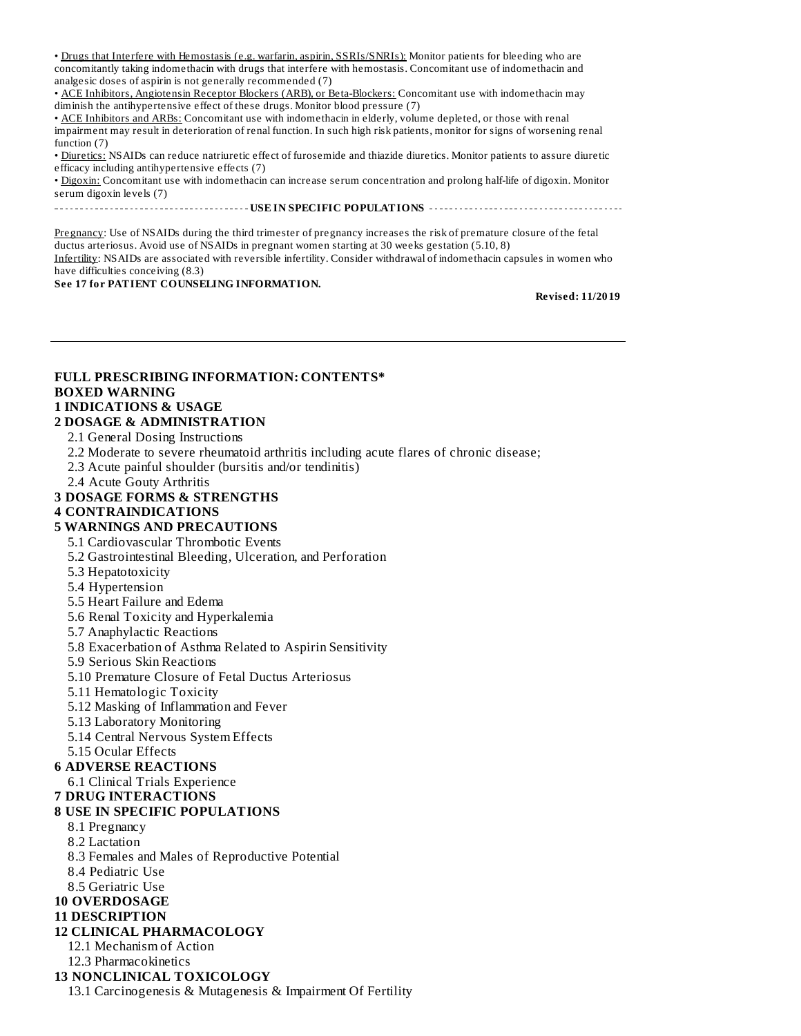• Drugs that Interfere with Hemostasis (e.g. warfarin, aspirin, SSRIs/SNRIs): Monitor patients for bleeding who are concomitantly taking indomethacin with drugs that interfere with hemostasis. Concomitant use of indomethacin and analgesic doses of aspirin is not generally recommended (7)

• ACE Inhibitors, Angiotensin Receptor Blockers (ARB), or Beta-Blockers: Concomitant use with indomethacin may diminish the antihypertensive effect of these drugs. Monitor blood pressure (7)

• ACE Inhibitors and ARBs: Concomitant use with indomethacin in elderly, volume depleted, or those with renal impairment may result in deterioration of renal function. In such high risk patients, monitor for signs of worsening renal function (7)

• Diuretics: NSAIDs can reduce natriuretic effect of furosemide and thiazide diuretics. Monitor patients to assure diuretic efficacy including antihypertensive effects (7)

• Digoxin: Concomitant use with indomethacin can increase serum concentration and prolong half-life of digoxin. Monitor serum digoxin levels (7)

**USE IN SPECIFIC POPULATIONS**

Pregnancy: Use of NSAIDs during the third trimester of pregnancy increases the risk of premature closure of the fetal ductus arteriosus. Avoid use of NSAIDs in pregnant women starting at 30 weeks gestation (5.10, 8) Infertility: NSAIDs are associated with reversible infertility. Consider withdrawal of indomethacin capsules in women who have difficulties conceiving (8.3)

**See 17 for PATIENT COUNSELING INFORMATION.**

**Revised: 11/2019**

## **FULL PRESCRIBING INFORMATION: CONTENTS\* BOXED WARNING**

## **1 INDICATIONS & USAGE**

#### **2 DOSAGE & ADMINISTRATION**

2.1 General Dosing Instructions

- 2.2 Moderate to severe rheumatoid arthritis including acute flares of chronic disease;
- 2.3 Acute painful shoulder (bursitis and/or tendinitis)
- 2.4 Acute Gouty Arthritis

#### **3 DOSAGE FORMS & STRENGTHS**

#### **4 CONTRAINDICATIONS**

#### **5 WARNINGS AND PRECAUTIONS**

- 5.1 Cardiovascular Thrombotic Events
- 5.2 Gastrointestinal Bleeding, Ulceration, and Perforation
- 5.3 Hepatotoxicity
- 5.4 Hypertension
- 5.5 Heart Failure and Edema
- 5.6 Renal Toxicity and Hyperkalemia
- 5.7 Anaphylactic Reactions
- 5.8 Exacerbation of Asthma Related to Aspirin Sensitivity
- 5.9 Serious Skin Reactions
- 5.10 Premature Closure of Fetal Ductus Arteriosus
- 5.11 Hematologic Toxicity
- 5.12 Masking of Inflammation and Fever
- 5.13 Laboratory Monitoring
- 5.14 Central Nervous System Effects
- 5.15 Ocular Effects

#### **6 ADVERSE REACTIONS**

- 6.1 Clinical Trials Experience
- **7 DRUG INTERACTIONS**

#### **8 USE IN SPECIFIC POPULATIONS**

- 8.1 Pregnancy
- 8.2 Lactation
- 8.3 Females and Males of Reproductive Potential
- 8.4 Pediatric Use
- 8.5 Geriatric Use
- **10 OVERDOSAGE**

#### **11 DESCRIPTION**

#### **12 CLINICAL PHARMACOLOGY**

- 12.1 Mechanism of Action
- 12.3 Pharmacokinetics

#### **13 NONCLINICAL TOXICOLOGY**

13.1 Carcinogenesis & Mutagenesis & Impairment Of Fertility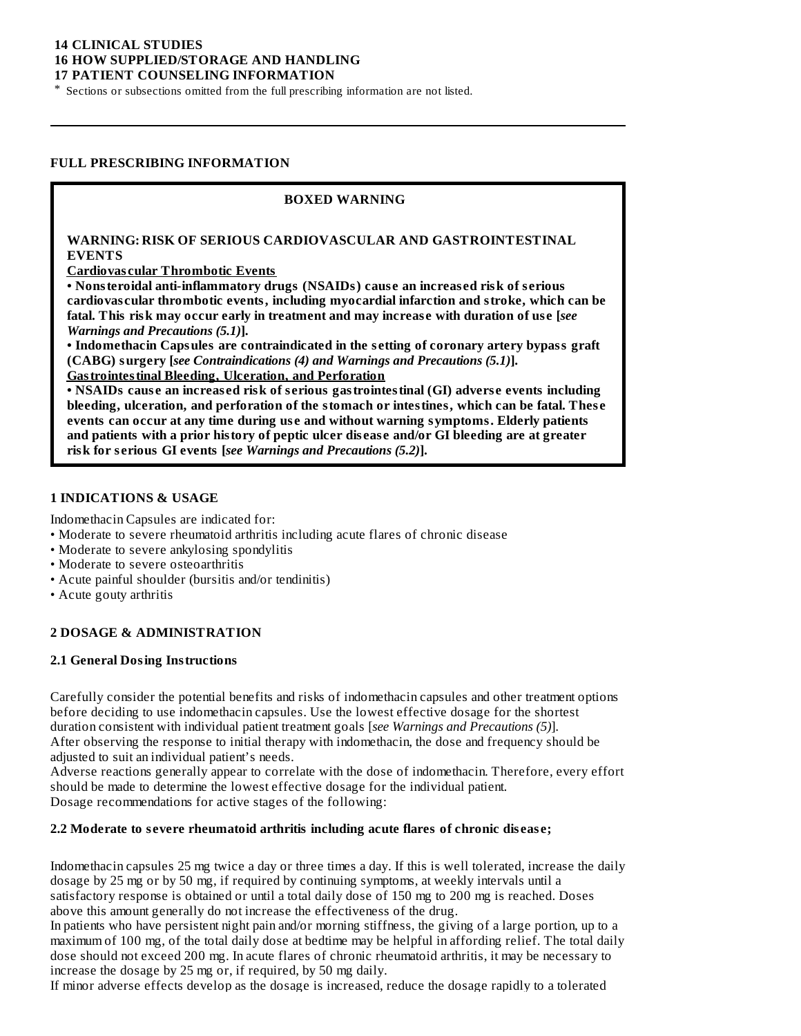#### **14 CLINICAL STUDIES 16 HOW SUPPLIED/STORAGE AND HANDLING 17 PATIENT COUNSELING INFORMATION**

\* Sections or subsections omitted from the full prescribing information are not listed.

#### **FULL PRESCRIBING INFORMATION**

#### **BOXED WARNING**

#### **WARNING: RISK OF SERIOUS CARDIOVASCULAR AND GASTROINTESTINAL EVENTS**

**Cardiovas cular Thrombotic Events**

**• Nonsteroidal anti-inflammatory drugs (NSAIDs) caus e an increas ed risk of s erious cardiovas cular thrombotic events, including myocardial infarction and stroke, which can be fatal. This risk may occur early in treatment and may increas e with duration of us e [***see Warnings and Precautions (5.1)***].**

**• Indomethacin Capsules are contraindicated in the s etting of coronary artery bypass graft (CABG) surgery [***see Contraindications (4) and Warnings and Precautions (5.1)***]. Gastrointestinal Bleeding, Ulceration, and Perforation**

**• NSAIDs caus e an increas ed risk of s erious gastrointestinal (GI) advers e events including bleeding, ulceration, and perforation of the stomach or intestines, which can be fatal. Thes e events can occur at any time during us e and without warning symptoms. Elderly patients and patients with a prior history of peptic ulcer dis eas e and/or GI bleeding are at greater risk for s erious GI events [***see Warnings and Precautions (5.2)***].**

#### **1 INDICATIONS & USAGE**

Indomethacin Capsules are indicated for:

- Moderate to severe rheumatoid arthritis including acute flares of chronic disease
- Moderate to severe ankylosing spondylitis
- Moderate to severe osteoarthritis
- Acute painful shoulder (bursitis and/or tendinitis)
- Acute gouty arthritis

#### **2 DOSAGE & ADMINISTRATION**

#### **2.1 General Dosing Instructions**

Carefully consider the potential benefits and risks of indomethacin capsules and other treatment options before deciding to use indomethacin capsules. Use the lowest effective dosage for the shortest duration consistent with individual patient treatment goals [*see Warnings and Precautions (5)*]. After observing the response to initial therapy with indomethacin, the dose and frequency should be adjusted to suit an individual patient's needs.

Adverse reactions generally appear to correlate with the dose of indomethacin. Therefore, every effort should be made to determine the lowest effective dosage for the individual patient. Dosage recommendations for active stages of the following:

#### **2.2 Moderate to s evere rheumatoid arthritis including acute flares of chronic dis eas e;**

Indomethacin capsules 25 mg twice a day or three times a day. If this is well tolerated, increase the daily dosage by 25 mg or by 50 mg, if required by continuing symptoms, at weekly intervals until a satisfactory response is obtained or until a total daily dose of 150 mg to 200 mg is reached. Doses above this amount generally do not increase the effectiveness of the drug.

In patients who have persistent night pain and/or morning stiffness, the giving of a large portion, up to a maximum of 100 mg, of the total daily dose at bedtime may be helpful in affording relief. The total daily dose should not exceed 200 mg. In acute flares of chronic rheumatoid arthritis, it may be necessary to increase the dosage by 25 mg or, if required, by 50 mg daily.

If minor adverse effects develop as the dosage is increased, reduce the dosage rapidly to a tolerated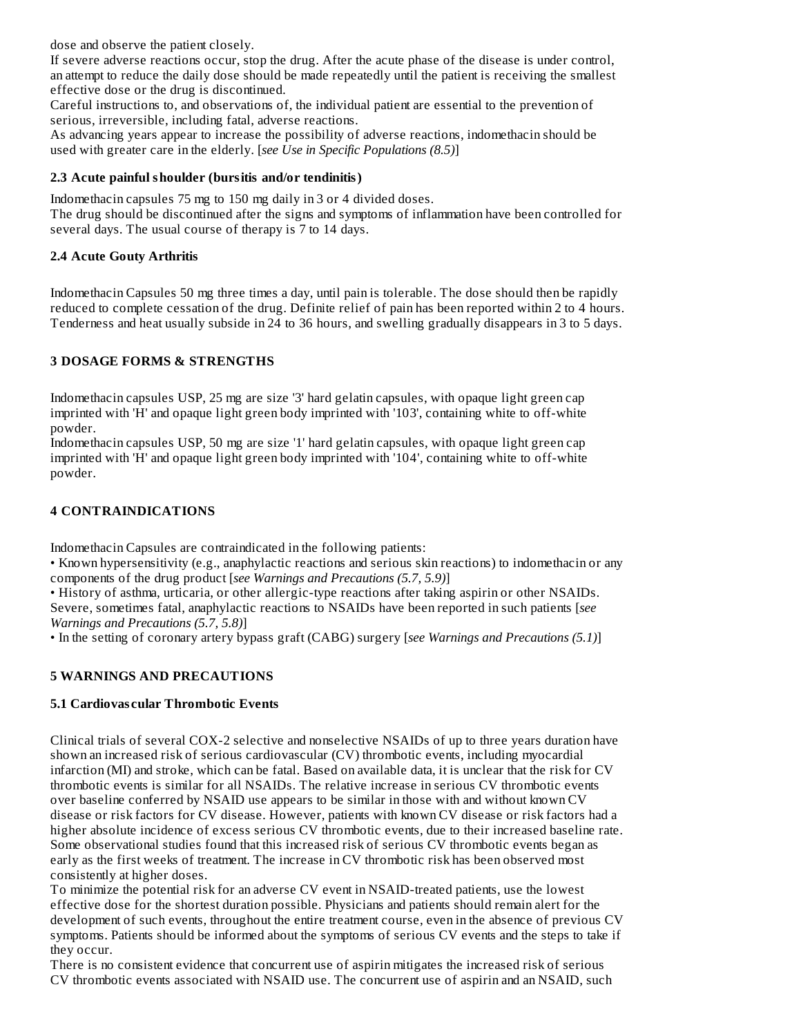dose and observe the patient closely.

If severe adverse reactions occur, stop the drug. After the acute phase of the disease is under control, an attempt to reduce the daily dose should be made repeatedly until the patient is receiving the smallest effective dose or the drug is discontinued.

Careful instructions to, and observations of, the individual patient are essential to the prevention of serious, irreversible, including fatal, adverse reactions.

As advancing years appear to increase the possibility of adverse reactions, indomethacin should be used with greater care in the elderly. [*see Use in Specific Populations (8.5)*]

### **2.3 Acute painful shoulder (bursitis and/or tendinitis)**

Indomethacin capsules 75 mg to 150 mg daily in 3 or 4 divided doses.

The drug should be discontinued after the signs and symptoms of inflammation have been controlled for several days. The usual course of therapy is 7 to 14 days.

## **2.4 Acute Gouty Arthritis**

Indomethacin Capsules 50 mg three times a day, until pain is tolerable. The dose should then be rapidly reduced to complete cessation of the drug. Definite relief of pain has been reported within 2 to 4 hours. Tenderness and heat usually subside in 24 to 36 hours, and swelling gradually disappears in 3 to 5 days.

### **3 DOSAGE FORMS & STRENGTHS**

Indomethacin capsules USP, 25 mg are size '3' hard gelatin capsules, with opaque light green cap imprinted with 'H' and opaque light green body imprinted with '103', containing white to off-white powder.

Indomethacin capsules USP, 50 mg are size '1' hard gelatin capsules, with opaque light green cap imprinted with 'H' and opaque light green body imprinted with '104', containing white to off-white powder.

## **4 CONTRAINDICATIONS**

Indomethacin Capsules are contraindicated in the following patients:

• Known hypersensitivity (e.g., anaphylactic reactions and serious skin reactions) to indomethacin or any components of the drug product [*see Warnings and Precautions (5.7, 5.9)*]

• History of asthma, urticaria, or other allergic-type reactions after taking aspirin or other NSAIDs. Severe, sometimes fatal, anaphylactic reactions to NSAIDs have been reported in such patients [*see Warnings and Precautions (5.7, 5.8)*]

• In the setting of coronary artery bypass graft (CABG) surgery [*see Warnings and Precautions (5.1)*]

## **5 WARNINGS AND PRECAUTIONS**

## **5.1 Cardiovas cular Thrombotic Events**

Clinical trials of several COX-2 selective and nonselective NSAIDs of up to three years duration have shown an increased risk of serious cardiovascular (CV) thrombotic events, including myocardial infarction (MI) and stroke, which can be fatal. Based on available data, it is unclear that the risk for CV thrombotic events is similar for all NSAIDs. The relative increase in serious CV thrombotic events over baseline conferred by NSAID use appears to be similar in those with and without known CV disease or risk factors for CV disease. However, patients with known CV disease or risk factors had a higher absolute incidence of excess serious CV thrombotic events, due to their increased baseline rate. Some observational studies found that this increased risk of serious CV thrombotic events began as early as the first weeks of treatment. The increase in CV thrombotic risk has been observed most consistently at higher doses.

To minimize the potential risk for an adverse CV event in NSAID-treated patients, use the lowest effective dose for the shortest duration possible. Physicians and patients should remain alert for the development of such events, throughout the entire treatment course, even in the absence of previous CV symptoms. Patients should be informed about the symptoms of serious CV events and the steps to take if they occur.

There is no consistent evidence that concurrent use of aspirin mitigates the increased risk of serious CV thrombotic events associated with NSAID use. The concurrent use of aspirin and an NSAID, such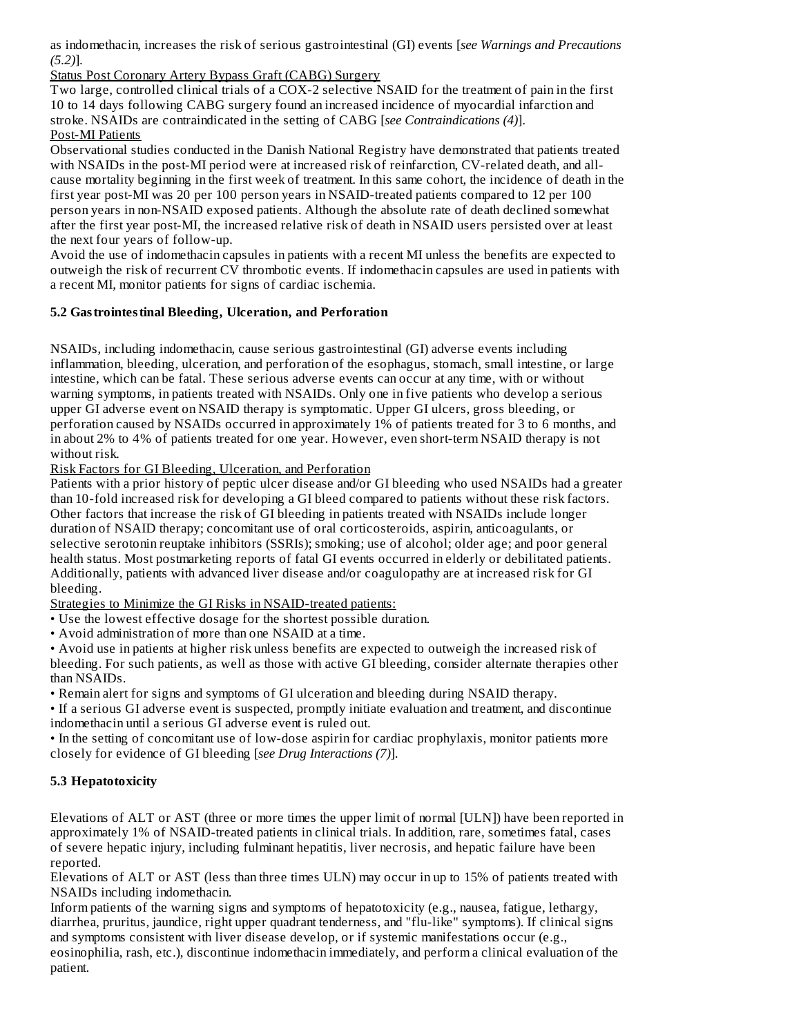as indomethacin, increases the risk of serious gastrointestinal (GI) events [*see Warnings and Precautions (5.2)*].

Status Post Coronary Artery Bypass Graft (CABG) Surgery

Two large, controlled clinical trials of a COX-2 selective NSAID for the treatment of pain in the first 10 to 14 days following CABG surgery found an increased incidence of myocardial infarction and stroke. NSAIDs are contraindicated in the setting of CABG [*see Contraindications (4)*]. Post-MI Patients

Observational studies conducted in the Danish National Registry have demonstrated that patients treated with NSAIDs in the post-MI period were at increased risk of reinfarction, CV-related death, and allcause mortality beginning in the first week of treatment. In this same cohort, the incidence of death in the first year post-MI was 20 per 100 person years in NSAID-treated patients compared to 12 per 100 person years in non-NSAID exposed patients. Although the absolute rate of death declined somewhat after the first year post-MI, the increased relative risk of death in NSAID users persisted over at least the next four years of follow-up.

Avoid the use of indomethacin capsules in patients with a recent MI unless the benefits are expected to outweigh the risk of recurrent CV thrombotic events. If indomethacin capsules are used in patients with a recent MI, monitor patients for signs of cardiac ischemia.

### **5.2 Gastrointestinal Bleeding, Ulceration, and Perforation**

NSAIDs, including indomethacin, cause serious gastrointestinal (GI) adverse events including inflammation, bleeding, ulceration, and perforation of the esophagus, stomach, small intestine, or large intestine, which can be fatal. These serious adverse events can occur at any time, with or without warning symptoms, in patients treated with NSAIDs. Only one in five patients who develop a serious upper GI adverse event on NSAID therapy is symptomatic. Upper GI ulcers, gross bleeding, or perforation caused by NSAIDs occurred in approximately 1% of patients treated for 3 to 6 months, and in about 2% to 4% of patients treated for one year. However, even short-term NSAID therapy is not without risk.

Risk Factors for GI Bleeding, Ulceration, and Perforation

Patients with a prior history of peptic ulcer disease and/or GI bleeding who used NSAIDs had a greater than 10-fold increased risk for developing a GI bleed compared to patients without these risk factors. Other factors that increase the risk of GI bleeding in patients treated with NSAIDs include longer duration of NSAID therapy; concomitant use of oral corticosteroids, aspirin, anticoagulants, or selective serotonin reuptake inhibitors (SSRIs); smoking; use of alcohol; older age; and poor general health status. Most postmarketing reports of fatal GI events occurred in elderly or debilitated patients. Additionally, patients with advanced liver disease and/or coagulopathy are at increased risk for GI bleeding.

Strategies to Minimize the GI Risks in NSAID-treated patients:

• Use the lowest effective dosage for the shortest possible duration.

• Avoid administration of more than one NSAID at a time.

• Avoid use in patients at higher risk unless benefits are expected to outweigh the increased risk of bleeding. For such patients, as well as those with active GI bleeding, consider alternate therapies other than NSAIDs.

• Remain alert for signs and symptoms of GI ulceration and bleeding during NSAID therapy.

• If a serious GI adverse event is suspected, promptly initiate evaluation and treatment, and discontinue indomethacin until a serious GI adverse event is ruled out.

• In the setting of concomitant use of low-dose aspirin for cardiac prophylaxis, monitor patients more closely for evidence of GI bleeding [*see Drug Interactions (7)*].

## **5.3 Hepatotoxicity**

Elevations of ALT or AST (three or more times the upper limit of normal [ULN]) have been reported in approximately 1% of NSAID-treated patients in clinical trials. In addition, rare, sometimes fatal, cases of severe hepatic injury, including fulminant hepatitis, liver necrosis, and hepatic failure have been reported.

Elevations of ALT or AST (less than three times ULN) may occur in up to 15% of patients treated with NSAIDs including indomethacin.

Inform patients of the warning signs and symptoms of hepatotoxicity (e.g., nausea, fatigue, lethargy, diarrhea, pruritus, jaundice, right upper quadrant tenderness, and "flu-like" symptoms). If clinical signs and symptoms consistent with liver disease develop, or if systemic manifestations occur (e.g., eosinophilia, rash, etc.), discontinue indomethacin immediately, and perform a clinical evaluation of the patient.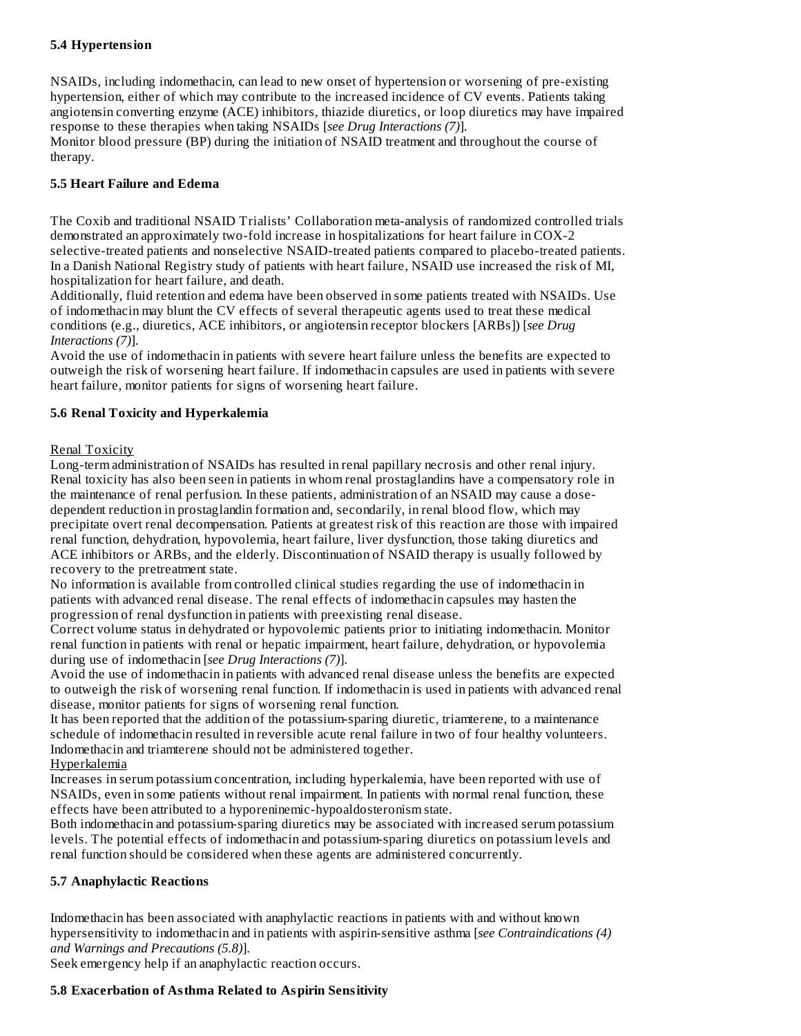#### **5.4 Hypertension**

NSAIDs, including indomethacin, can lead to new onset of hypertension or worsening of pre-existing hypertension, either of which may contribute to the increased incidence of CV events. Patients taking angiotensin converting enzyme (ACE) inhibitors, thiazide diuretics, or loop diuretics may have impaired response to these therapies when taking NSAIDs [*see Drug Interactions (7)*]. Monitor blood pressure (BP) during the initiation of NSAID treatment and throughout the course of therapy.

### **5.5 Heart Failure and Edema**

The Coxib and traditional NSAID Trialists' Collaboration meta-analysis of randomized controlled trials demonstrated an approximately two-fold increase in hospitalizations for heart failure in COX-2 selective-treated patients and nonselective NSAID-treated patients compared to placebo-treated patients. In a Danish National Registry study of patients with heart failure, NSAID use increased the risk of MI, hospitalization for heart failure, and death.

Additionally, fluid retention and edema have been observed in some patients treated with NSAIDs. Use of indomethacin may blunt the CV effects of several therapeutic agents used to treat these medical conditions (e.g., diuretics, ACE inhibitors, or angiotensin receptor blockers [ARBs]) [*see Drug Interactions (7)*].

Avoid the use of indomethacin in patients with severe heart failure unless the benefits are expected to outweigh the risk of worsening heart failure. If indomethacin capsules are used in patients with severe heart failure, monitor patients for signs of worsening heart failure.

### **5.6 Renal Toxicity and Hyperkalemia**

### Renal Toxicity

Long-term administration of NSAIDs has resulted in renal papillary necrosis and other renal injury. Renal toxicity has also been seen in patients in whom renal prostaglandins have a compensatory role in the maintenance of renal perfusion. In these patients, administration of an NSAID may cause a dosedependent reduction in prostaglandin formation and, secondarily, in renal blood flow, which may precipitate overt renal decompensation. Patients at greatest risk of this reaction are those with impaired renal function, dehydration, hypovolemia, heart failure, liver dysfunction, those taking diuretics and ACE inhibitors or ARBs, and the elderly. Discontinuation of NSAID therapy is usually followed by recovery to the pretreatment state.

No information is available from controlled clinical studies regarding the use of indomethacin in patients with advanced renal disease. The renal effects of indomethacin capsules may hasten the progression of renal dysfunction in patients with preexisting renal disease.

Correct volume status in dehydrated or hypovolemic patients prior to initiating indomethacin. Monitor renal function in patients with renal or hepatic impairment, heart failure, dehydration, or hypovolemia during use of indomethacin [*see Drug Interactions (7)*].

Avoid the use of indomethacin in patients with advanced renal disease unless the benefits are expected to outweigh the risk of worsening renal function. If indomethacin is used in patients with advanced renal disease, monitor patients for signs of worsening renal function.

It has been reported that the addition of the potassium-sparing diuretic, triamterene, to a maintenance schedule of indomethacin resulted in reversible acute renal failure in two of four healthy volunteers. Indomethacin and triamterene should not be administered together.

#### Hyperkalemia

Increases in serum potassium concentration, including hyperkalemia, have been reported with use of NSAIDs, even in some patients without renal impairment. In patients with normal renal function, these effects have been attributed to a hyporeninemic-hypoaldosteronism state.

Both indomethacin and potassium-sparing diuretics may be associated with increased serum potassium levels. The potential effects of indomethacin and potassium-sparing diuretics on potassium levels and renal function should be considered when these agents are administered concurrently.

## **5.7 Anaphylactic Reactions**

Indomethacin has been associated with anaphylactic reactions in patients with and without known hypersensitivity to indomethacin and in patients with aspirin-sensitive asthma [*see Contraindications (4) and Warnings and Precautions (5.8)*].

Seek emergency help if an anaphylactic reaction occurs.

#### **5.8 Exacerbation of Asthma Related to Aspirin Sensitivity**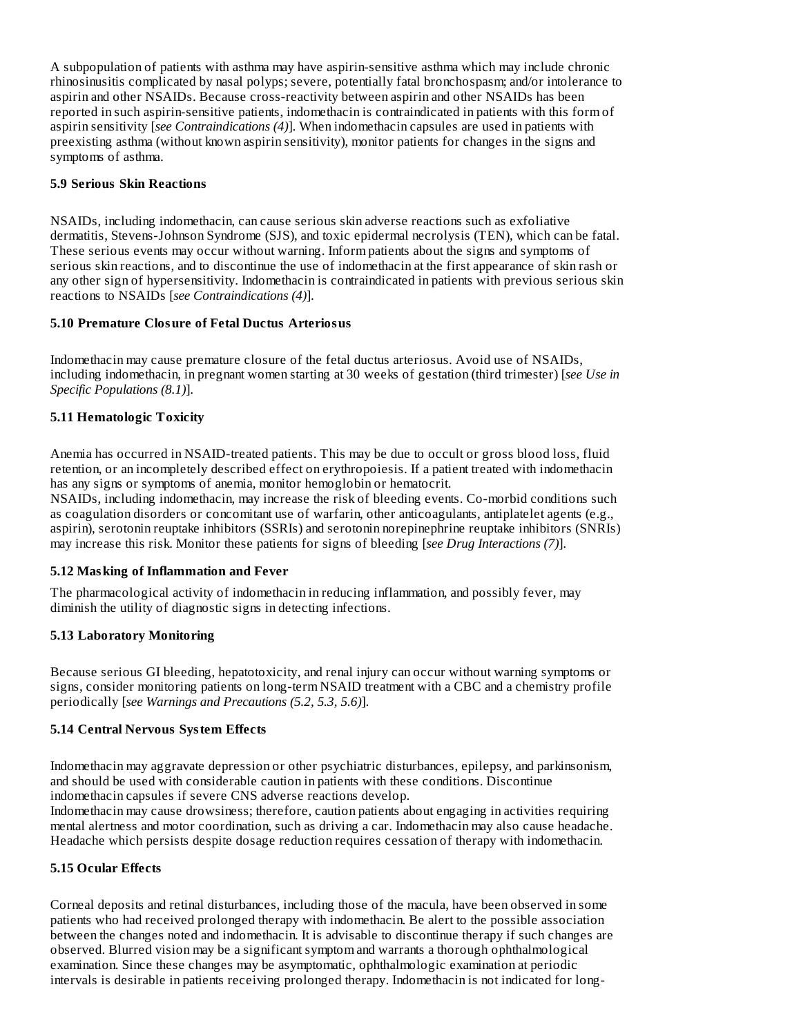A subpopulation of patients with asthma may have aspirin-sensitive asthma which may include chronic rhinosinusitis complicated by nasal polyps; severe, potentially fatal bronchospasm; and/or intolerance to aspirin and other NSAIDs. Because cross-reactivity between aspirin and other NSAIDs has been reported in such aspirin-sensitive patients, indomethacin is contraindicated in patients with this form of aspirin sensitivity [*see Contraindications (4)*]. When indomethacin capsules are used in patients with preexisting asthma (without known aspirin sensitivity), monitor patients for changes in the signs and symptoms of asthma.

### **5.9 Serious Skin Reactions**

NSAIDs, including indomethacin, can cause serious skin adverse reactions such as exfoliative dermatitis, Stevens-Johnson Syndrome (SJS), and toxic epidermal necrolysis (TEN), which can be fatal. These serious events may occur without warning. Inform patients about the signs and symptoms of serious skin reactions, and to discontinue the use of indomethacin at the first appearance of skin rash or any other sign of hypersensitivity. Indomethacin is contraindicated in patients with previous serious skin reactions to NSAIDs [*see Contraindications (4)*].

### **5.10 Premature Closure of Fetal Ductus Arteriosus**

Indomethacin may cause premature closure of the fetal ductus arteriosus. Avoid use of NSAIDs, including indomethacin, in pregnant women starting at 30 weeks of gestation (third trimester) [*see Use in Specific Populations (8.1)*].

## **5.11 Hematologic Toxicity**

Anemia has occurred in NSAID-treated patients. This may be due to occult or gross blood loss, fluid retention, or an incompletely described effect on erythropoiesis. If a patient treated with indomethacin has any signs or symptoms of anemia, monitor hemoglobin or hematocrit.

NSAIDs, including indomethacin, may increase the risk of bleeding events. Co-morbid conditions such as coagulation disorders or concomitant use of warfarin, other anticoagulants, antiplatelet agents (e.g., aspirin), serotonin reuptake inhibitors (SSRIs) and serotonin norepinephrine reuptake inhibitors (SNRIs) may increase this risk. Monitor these patients for signs of bleeding [*see Drug Interactions (7)*].

## **5.12 Masking of Inflammation and Fever**

The pharmacological activity of indomethacin in reducing inflammation, and possibly fever, may diminish the utility of diagnostic signs in detecting infections.

## **5.13 Laboratory Monitoring**

Because serious GI bleeding, hepatotoxicity, and renal injury can occur without warning symptoms or signs, consider monitoring patients on long-term NSAID treatment with a CBC and a chemistry profile periodically [*see Warnings and Precautions (5.2, 5.3, 5.6)*].

## **5.14 Central Nervous System Effects**

Indomethacin may aggravate depression or other psychiatric disturbances, epilepsy, and parkinsonism, and should be used with considerable caution in patients with these conditions. Discontinue indomethacin capsules if severe CNS adverse reactions develop.

Indomethacin may cause drowsiness; therefore, caution patients about engaging in activities requiring mental alertness and motor coordination, such as driving a car. Indomethacin may also cause headache. Headache which persists despite dosage reduction requires cessation of therapy with indomethacin.

## **5.15 Ocular Effects**

Corneal deposits and retinal disturbances, including those of the macula, have been observed in some patients who had received prolonged therapy with indomethacin. Be alert to the possible association between the changes noted and indomethacin. It is advisable to discontinue therapy if such changes are observed. Blurred vision may be a significant symptom and warrants a thorough ophthalmological examination. Since these changes may be asymptomatic, ophthalmologic examination at periodic intervals is desirable in patients receiving prolonged therapy. Indomethacin is not indicated for long-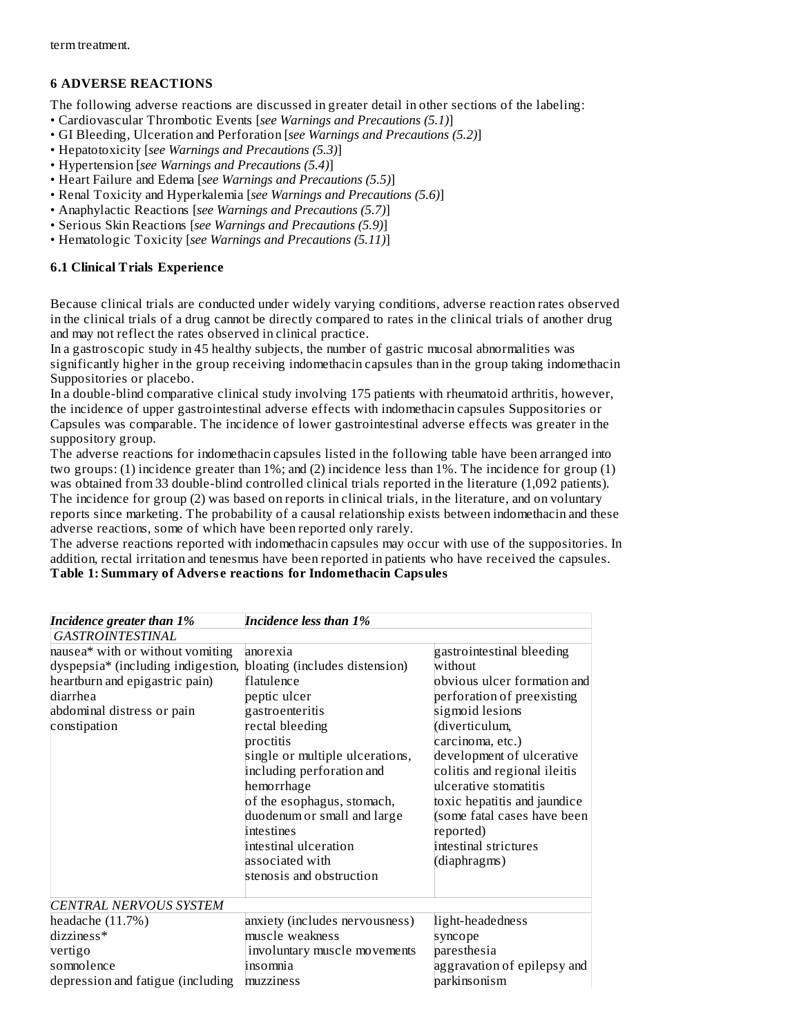## **6 ADVERSE REACTIONS**

The following adverse reactions are discussed in greater detail in other sections of the labeling:

- Cardiovascular Thrombotic Events [*see Warnings and Precautions (5.1)*]
- GI Bleeding, Ulceration and Perforation [*see Warnings and Precautions (5.2)*]
- Hepatotoxicity [*see Warnings and Precautions (5.3)*]
- Hypertension [*see Warnings and Precautions (5.4)*]
- Heart Failure and Edema [*see Warnings and Precautions (5.5)*]
- Renal Toxicity and Hyperkalemia [*see Warnings and Precautions (5.6)*]
- Anaphylactic Reactions [*see Warnings and Precautions (5.7)*]
- Serious Skin Reactions [*see Warnings and Precautions (5.9)*]
- Hematologic Toxicity [*see Warnings and Precautions (5.11)*]

### **6.1 Clinical Trials Experience**

Because clinical trials are conducted under widely varying conditions, adverse reaction rates observed in the clinical trials of a drug cannot be directly compared to rates in the clinical trials of another drug and may not reflect the rates observed in clinical practice.

In a gastroscopic study in 45 healthy subjects, the number of gastric mucosal abnormalities was significantly higher in the group receiving indomethacin capsules than in the group taking indomethacin Suppositories or placebo.

In a double-blind comparative clinical study involving 175 patients with rheumatoid arthritis, however, the incidence of upper gastrointestinal adverse effects with indomethacin capsules Suppositories or Capsules was comparable. The incidence of lower gastrointestinal adverse effects was greater in the suppository group.

The adverse reactions for indomethacin capsules listed in the following table have been arranged into two groups: (1) incidence greater than 1%; and (2) incidence less than 1%. The incidence for group (1) was obtained from 33 double-blind controlled clinical trials reported in the literature (1,092 patients). The incidence for group (2) was based on reports in clinical trials, in the literature, and on voluntary reports since marketing. The probability of a causal relationship exists between indomethacin and these adverse reactions, some of which have been reported only rarely.

The adverse reactions reported with indomethacin capsules may occur with use of the suppositories. In addition, rectal irritation and tenesmus have been reported in patients who have received the capsules. **Table 1: Summary of Advers e reactions for Indomethacin Capsules**

| Incidence greater than 1%                                                                                                                                          | <b>Incidence less than 1%</b>                                                                                                                                                                                                                                                                                                                                |                                                                                                                                                                                                                                                                                                                                                                       |
|--------------------------------------------------------------------------------------------------------------------------------------------------------------------|--------------------------------------------------------------------------------------------------------------------------------------------------------------------------------------------------------------------------------------------------------------------------------------------------------------------------------------------------------------|-----------------------------------------------------------------------------------------------------------------------------------------------------------------------------------------------------------------------------------------------------------------------------------------------------------------------------------------------------------------------|
| <b>GASTROINTESTINAL</b>                                                                                                                                            |                                                                                                                                                                                                                                                                                                                                                              |                                                                                                                                                                                                                                                                                                                                                                       |
| nausea* with or without vomiting<br>dyspepsia* (including indigestion,<br>heartburn and epigastric pain)<br>diarrhea<br>abdominal distress or pain<br>constipation | anorexia<br>bloating (includes distension)<br>flatulence<br>peptic ulcer<br>gastroenteritis<br>rectal bleeding<br>proctitis<br>single or multiple ulcerations,<br>including perforation and<br>hemorrhage<br>of the esophagus, stomach,<br>duodenum or small and large<br>intestines<br>intestinal ulceration<br>associated with<br>stenosis and obstruction | gastrointestinal bleeding<br>without<br>obvious ulcer formation and<br>perforation of preexisting<br>sigmoid lesions<br>(diverticulum,<br>carcinoma, etc.)<br>development of ulcerative<br>colitis and regional ileitis<br>ulcerative stomatitis<br>toxic hepatitis and jaundice<br>(some fatal cases have been<br>reported)<br>intestinal strictures<br>(diaphragms) |
| <b>CENTRAL NERVOUS SYSTEM</b>                                                                                                                                      |                                                                                                                                                                                                                                                                                                                                                              |                                                                                                                                                                                                                                                                                                                                                                       |
| headache $(11.7%)$<br>dizziness*                                                                                                                                   | anxiety (includes nervousness)<br>muscle weakness                                                                                                                                                                                                                                                                                                            | light-headedness<br>syncope                                                                                                                                                                                                                                                                                                                                           |
| vertigo<br>somnolence<br>depression and fatigue (including                                                                                                         | involuntary muscle movements<br>insomnia<br>muzziness                                                                                                                                                                                                                                                                                                        | paresthesia<br>aggravation of epilepsy and<br>parkinsonism                                                                                                                                                                                                                                                                                                            |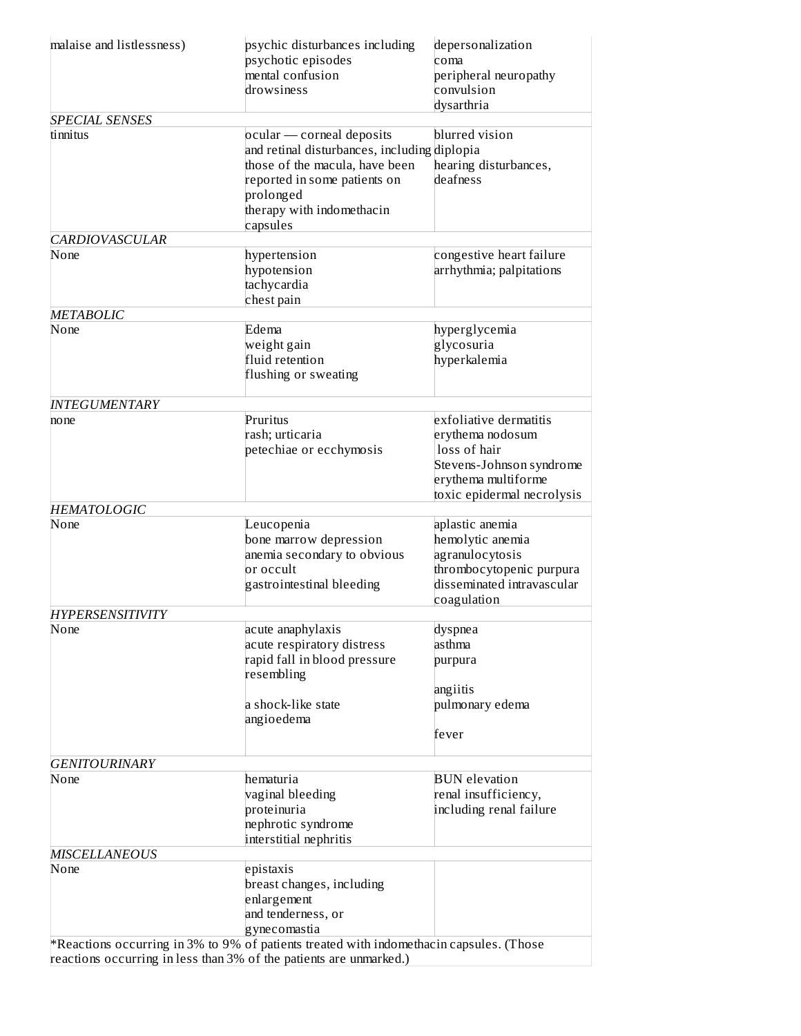| malaise and listlessness)         | psychic disturbances including<br>psychotic episodes<br>mental confusion<br>drowsiness                                                                                                            | depersonalization<br>coma<br>peripheral neuropathy<br>convulsion<br>dysarthria                                                              |  |  |
|-----------------------------------|---------------------------------------------------------------------------------------------------------------------------------------------------------------------------------------------------|---------------------------------------------------------------------------------------------------------------------------------------------|--|--|
| <b>SPECIAL SENSES</b><br>tinnitus | ocular — corneal deposits<br>and retinal disturbances, including diplopia<br>those of the macula, have been<br>reported in some patients on<br>prolonged<br>therapy with indomethacin<br>capsules | blurred vision<br>hearing disturbances,<br>deafness                                                                                         |  |  |
| <b>CARDIOVASCULAR</b><br>None     | hypertension                                                                                                                                                                                      | congestive heart failure                                                                                                                    |  |  |
|                                   | hypotension<br>tachycardia<br>chest pain                                                                                                                                                          | arrhythmia; palpitations                                                                                                                    |  |  |
| <b>METABOLIC</b>                  |                                                                                                                                                                                                   |                                                                                                                                             |  |  |
| None                              | Edema<br>weight gain<br>fluid retention<br>flushing or sweating                                                                                                                                   | hyperglycemia<br>glycosuria<br>hyperkalemia                                                                                                 |  |  |
| <b>INTEGUMENTARY</b>              |                                                                                                                                                                                                   |                                                                                                                                             |  |  |
| no ne                             | Pruritus<br>rash; urticaria<br>petechiae or ecchymosis                                                                                                                                            | exfoliative dermatitis<br>erythema nodosum<br>loss of hair<br>Stevens-Johnson syndrome<br>erythema multiforme<br>toxic epidermal necrolysis |  |  |
| <b>HEMATOLOGIC</b>                |                                                                                                                                                                                                   |                                                                                                                                             |  |  |
| None                              | Leucopenia<br>bone marrow depression<br>anemia secondary to obvious<br>or occult<br>gastrointestinal bleeding                                                                                     | aplastic anemia<br>hemolytic anemia<br>agranulocytosis<br>thrombocytopenic purpura<br>disseminated intravascular<br>coagulation             |  |  |
| <b>HYPERSENSITIVITY</b><br>None   | acute anaphylaxis<br>acute respiratory distress<br>rapid fall in blood pressure                                                                                                                   | dyspnea<br>asthma<br>purpura                                                                                                                |  |  |
|                                   | resembling<br>a shock-like state<br>angioedema                                                                                                                                                    | angiitis<br>pulmonary edema<br>fever                                                                                                        |  |  |
| <b>GENITOURINARY</b>              |                                                                                                                                                                                                   |                                                                                                                                             |  |  |
| None                              | hematuria<br>vaginal bleeding<br>proteinuria<br>nephrotic syndrome<br>interstitial nephritis                                                                                                      | <b>BUN</b> elevation<br>renal insufficiency,<br>including renal failure                                                                     |  |  |
| <b>MISCELLANEOUS</b>              |                                                                                                                                                                                                   |                                                                                                                                             |  |  |
| None                              | epistaxis<br>breast changes, including<br>enlargement<br>and tenderness, or<br>gynecomastia                                                                                                       |                                                                                                                                             |  |  |
|                                   | $*$ Reactions occurring in 3% to 9% of patients treated with indomethacin capsules. (Those<br>reactions occurring in less than 3% of the patients are unmarked.)                                  |                                                                                                                                             |  |  |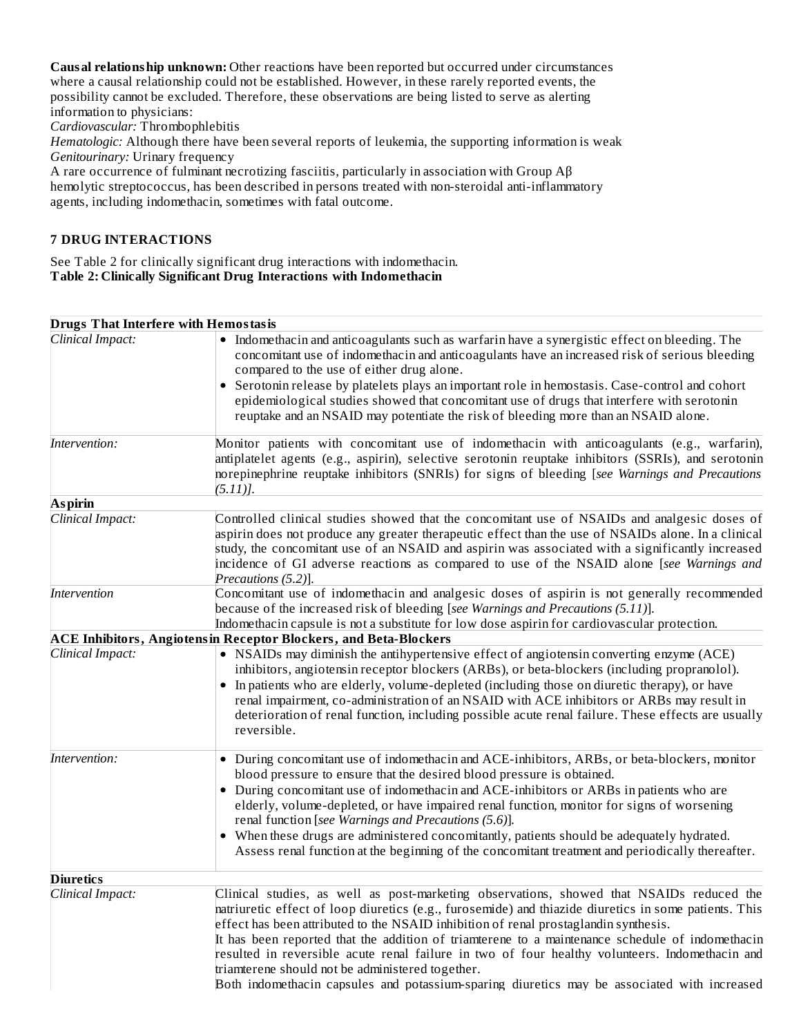**Causal relationship unknown:** Other reactions have been reported but occurred under circumstances where a causal relationship could not be established. However, in these rarely reported events, the possibility cannot be excluded. Therefore, these observations are being listed to serve as alerting information to physicians:

*Cardiovascular:* Thrombophlebitis

*Hematologic:* Although there have been several reports of leukemia, the supporting information is weak *Genitourinary:* Urinary frequency

A rare occurrence of fulminant necrotizing fasciitis, particularly in association with Group Aβ hemolytic streptococcus, has been described in persons treated with non-steroidal anti-inflammatory agents, including indomethacin, sometimes with fatal outcome.

## **7 DRUG INTERACTIONS**

See Table 2 for clinically significant drug interactions with indomethacin. **Table 2: Clinically Significant Drug Interactions with Indomethacin**

| <b>Drugs That Interfere with Hemostasis</b> |                                                                                                                                                                                                                                                                                                                                                                                                                                                                                                                                                                                                                                                   |
|---------------------------------------------|---------------------------------------------------------------------------------------------------------------------------------------------------------------------------------------------------------------------------------------------------------------------------------------------------------------------------------------------------------------------------------------------------------------------------------------------------------------------------------------------------------------------------------------------------------------------------------------------------------------------------------------------------|
| Clinical Impact:                            | • Indomethacin and anticoagulants such as warfarin have a synergistic effect on bleeding. The<br>concomitant use of indomethacin and anticoagulants have an increased risk of serious bleeding<br>compared to the use of either drug alone.<br>Serotonin release by platelets plays an important role in hemostasis. Case-control and cohort<br>$\bullet$<br>epidemiological studies showed that concomitant use of drugs that interfere with serotonin<br>reuptake and an NSAID may potentiate the risk of bleeding more than an NSAID alone.                                                                                                    |
| Intervention:                               | Monitor patients with concomitant use of indomethacin with anticoagulants (e.g., warfarin),<br>antiplatelet agents (e.g., aspirin), selective serotonin reuptake inhibitors (SSRIs), and serotonin<br>norepinephrine reuptake inhibitors (SNRIs) for signs of bleeding [see Warnings and Precautions<br>$(5.11)$ ].                                                                                                                                                                                                                                                                                                                               |
| <b>Aspirin</b>                              |                                                                                                                                                                                                                                                                                                                                                                                                                                                                                                                                                                                                                                                   |
| Clinical Impact:                            | Controlled clinical studies showed that the concomitant use of NSAIDs and analgesic doses of<br>aspirin does not produce any greater therapeutic effect than the use of NSAIDs alone. In a clinical<br>study, the concomitant use of an NSAID and aspirin was associated with a significantly increased<br>incidence of GI adverse reactions as compared to use of the NSAID alone [see Warnings and<br>Precautions (5.2)].                                                                                                                                                                                                                       |
| <i>Intervention</i>                         | Concomitant use of indomethacin and analgesic doses of aspirin is not generally recommended<br>because of the increased risk of bleeding [see Warnings and Precautions (5.11)].<br>Indomethacin capsule is not a substitute for low dose aspirin for cardiovascular protection.                                                                                                                                                                                                                                                                                                                                                                   |
|                                             | <b>ACE Inhibitors, Angiotensin Receptor Blockers, and Beta-Blockers</b>                                                                                                                                                                                                                                                                                                                                                                                                                                                                                                                                                                           |
| Clinical Impact:                            | • NSAIDs may diminish the antihypertensive effect of angiotensin converting enzyme (ACE)<br>inhibitors, angiotensin receptor blockers (ARBs), or beta-blockers (including propranolol).<br>• In patients who are elderly, volume-depleted (including those on diuretic therapy), or have<br>renal impairment, co-administration of an NSAID with ACE inhibitors or ARBs may result in<br>deterioration of renal function, including possible acute renal failure. These effects are usually<br>reversible.                                                                                                                                        |
| Intervention:                               | • During concomitant use of indomethacin and ACE-inhibitors, ARBs, or beta-blockers, monitor<br>blood pressure to ensure that the desired blood pressure is obtained.<br>• During concomitant use of indomethacin and ACE-inhibitors or ARBs in patients who are<br>elderly, volume-depleted, or have impaired renal function, monitor for signs of worsening<br>renal function [see Warnings and Precautions (5.6)].<br>When these drugs are administered concomitantly, patients should be adequately hydrated.<br>Assess renal function at the beginning of the concomitant treatment and periodically thereafter.                             |
| <b>Diuretics</b>                            |                                                                                                                                                                                                                                                                                                                                                                                                                                                                                                                                                                                                                                                   |
| Clinical Impact:                            | Clinical studies, as well as post-marketing observations, showed that NSAIDs reduced the<br>natriuretic effect of loop diuretics (e.g., furosemide) and thiazide diuretics in some patients. This<br>effect has been attributed to the NSAID inhibition of renal prostaglandin synthesis.<br>It has been reported that the addition of triamterene to a maintenance schedule of indomethacin<br>resulted in reversible acute renal failure in two of four healthy volunteers. Indomethacin and<br>triamterene should not be administered together.<br>Both indomethacin capsules and potassium-sparing diuretics may be associated with increased |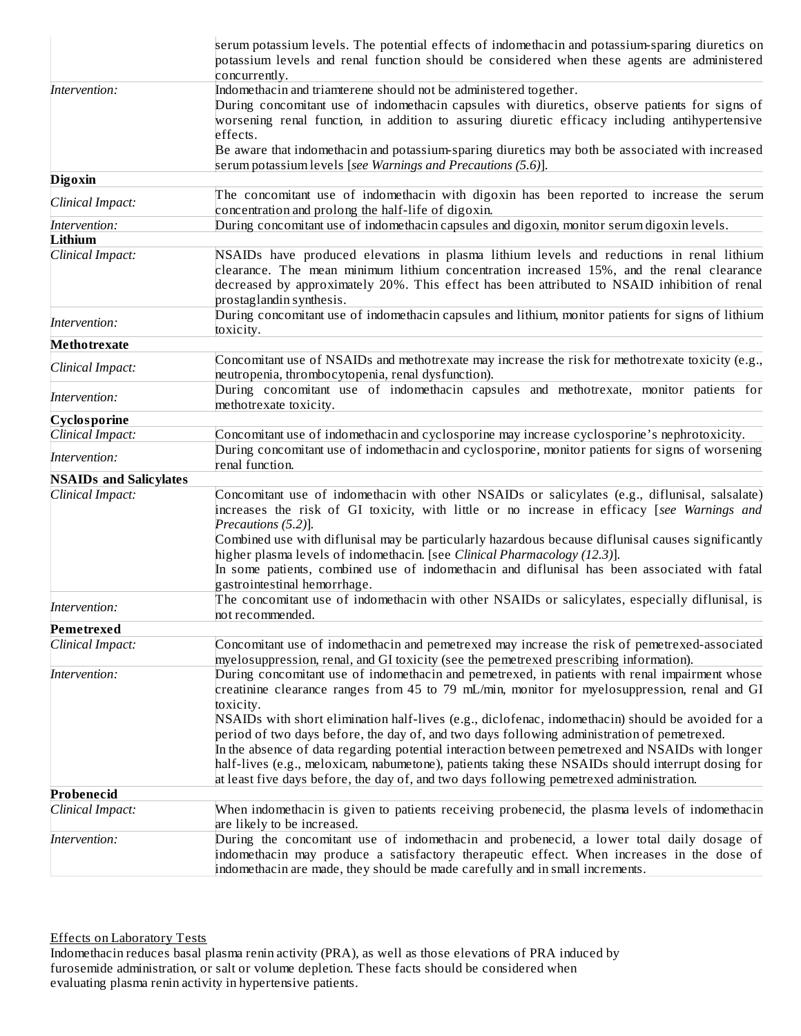|                               | serum potassium levels. The potential effects of indomethacin and potassium-sparing diuretics on<br>potassium levels and renal function should be considered when these agents are administered<br>concurrently.                                                                                                                                                                                                                                                                                       |
|-------------------------------|--------------------------------------------------------------------------------------------------------------------------------------------------------------------------------------------------------------------------------------------------------------------------------------------------------------------------------------------------------------------------------------------------------------------------------------------------------------------------------------------------------|
| Intervention:                 | Indomethacin and triamterene should not be administered together.<br>During concomitant use of indomethacin capsules with diuretics, observe patients for signs of<br>worsening renal function, in addition to assuring diuretic efficacy including antihypertensive<br>effects.                                                                                                                                                                                                                       |
|                               | Be aware that indomethacin and potassium-sparing diuretics may both be associated with increased<br>serum potassium levels [see Warnings and Precautions (5.6)].                                                                                                                                                                                                                                                                                                                                       |
| <b>Digoxin</b>                |                                                                                                                                                                                                                                                                                                                                                                                                                                                                                                        |
| Clinical Impact:              | The concomitant use of indomethacin with digoxin has been reported to increase the serum<br>concentration and prolong the half-life of digoxin.                                                                                                                                                                                                                                                                                                                                                        |
| Intervention:                 | During concomitant use of indomethacin capsules and digoxin, monitor serum digoxin levels.                                                                                                                                                                                                                                                                                                                                                                                                             |
| Lithium                       |                                                                                                                                                                                                                                                                                                                                                                                                                                                                                                        |
| Clinical Impact:              | NSAIDs have produced elevations in plasma lithium levels and reductions in renal lithium<br>clearance. The mean minimum lithium concentration increased 15%, and the renal clearance<br>decreased by approximately 20%. This effect has been attributed to NSAID inhibition of renal<br>prostaglandin synthesis.                                                                                                                                                                                       |
| Intervention:                 | During concomitant use of indomethacin capsules and lithium, monitor patients for signs of lithium<br>toxicity.                                                                                                                                                                                                                                                                                                                                                                                        |
| <b>Methotrexate</b>           |                                                                                                                                                                                                                                                                                                                                                                                                                                                                                                        |
| Clinical Impact:              | Concomitant use of NSAIDs and methotrexate may increase the risk for methotrexate toxicity (e.g.,<br>neutropenia, thrombocytopenia, renal dysfunction).                                                                                                                                                                                                                                                                                                                                                |
| Intervention:                 | During concomitant use of indomethacin capsules and methotrexate, monitor patients for<br>methotrexate toxicity.                                                                                                                                                                                                                                                                                                                                                                                       |
| Cyclosporine                  |                                                                                                                                                                                                                                                                                                                                                                                                                                                                                                        |
| Clinical Impact:              | Concomitant use of indomethacin and cyclosporine may increase cyclosporine's nephrotoxicity.                                                                                                                                                                                                                                                                                                                                                                                                           |
| Intervention:                 | During concomitant use of indomethacin and cyclosporine, monitor patients for signs of worsening<br>renal function.                                                                                                                                                                                                                                                                                                                                                                                    |
| <b>NSAIDs and Salicylates</b> |                                                                                                                                                                                                                                                                                                                                                                                                                                                                                                        |
| Clinical Impact:              | Concomitant use of indomethacin with other NSAIDs or salicylates (e.g., diflunisal, salsalate)<br>increases the risk of GI toxicity, with little or no increase in efficacy [see Warnings and<br>Precautions (5.2)].<br>Combined use with diflunisal may be particularly hazardous because diflunisal causes significantly<br>higher plasma levels of indomethacin. [see Clinical Pharmacology (12.3)].                                                                                                |
|                               | In some patients, combined use of indomethacin and diflunisal has been associated with fatal<br>gastrointestinal hemorrhage.                                                                                                                                                                                                                                                                                                                                                                           |
| Intervention:                 | The concomitant use of indomethacin with other NSAIDs or salicylates, especially diflunisal, is<br>not recommended.                                                                                                                                                                                                                                                                                                                                                                                    |
| Pemetrexed                    |                                                                                                                                                                                                                                                                                                                                                                                                                                                                                                        |
| Clinical Impact:              | Concomitant use of indomethacin and pemetrexed may increase the risk of pemetrexed-associated<br>myelosuppression, renal, and GI toxicity (see the pemetrexed prescribing information).                                                                                                                                                                                                                                                                                                                |
| Intervention:                 | During concomitant use of indomethacin and pemetrexed, in patients with renal impairment whose<br>creatinine clearance ranges from 45 to 79 mL/min, monitor for myelosuppression, renal and GI<br>toxicity.                                                                                                                                                                                                                                                                                            |
|                               | NSAIDs with short elimination half-lives (e.g., diclofenac, indomethacin) should be avoided for a<br>period of two days before, the day of, and two days following administration of pemetrexed.<br>In the absence of data regarding potential interaction between pemetrexed and NSAIDs with longer<br>half-lives (e.g., meloxicam, nabumetone), patients taking these NSAIDs should interrupt dosing for<br>at least five days before, the day of, and two days following pemetrexed administration. |
| Probenecid                    |                                                                                                                                                                                                                                                                                                                                                                                                                                                                                                        |
| Clinical Impact:              | When indomethacin is given to patients receiving probenecid, the plasma levels of indomethacin<br>are likely to be increased.                                                                                                                                                                                                                                                                                                                                                                          |
| Intervention:                 | During the concomitant use of indomethacin and probenecid, a lower total daily dosage of<br>indomethacin may produce a satisfactory therapeutic effect. When increases in the dose of<br>indomethacin are made, they should be made carefully and in small increments.                                                                                                                                                                                                                                 |

Effects on Laboratory Tests

Indomethacin reduces basal plasma renin activity (PRA), as well as those elevations of PRA induced by furosemide administration, or salt or volume depletion. These facts should be considered when evaluating plasma renin activity in hypertensive patients.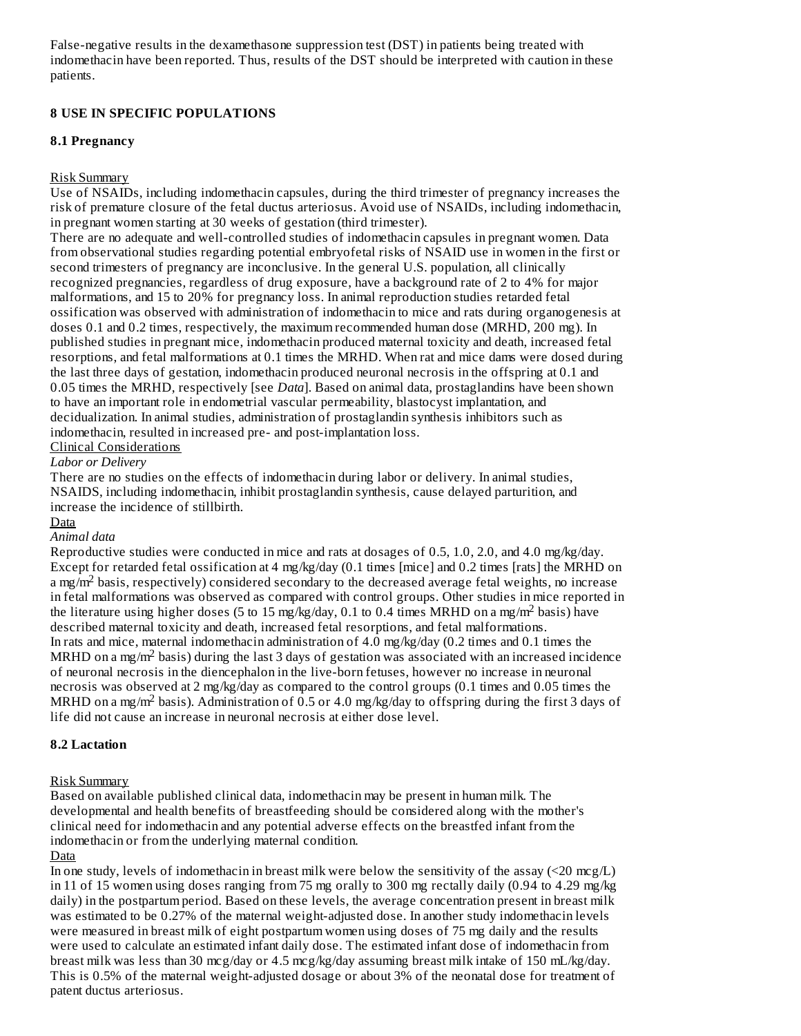False-negative results in the dexamethasone suppression test (DST) in patients being treated with indomethacin have been reported. Thus, results of the DST should be interpreted with caution in these patients.

### **8 USE IN SPECIFIC POPULATIONS**

### **8.1 Pregnancy**

### Risk Summary

Use of NSAIDs, including indomethacin capsules, during the third trimester of pregnancy increases the risk of premature closure of the fetal ductus arteriosus. Avoid use of NSAIDs, including indomethacin, in pregnant women starting at 30 weeks of gestation (third trimester).

There are no adequate and well-controlled studies of indomethacin capsules in pregnant women. Data from observational studies regarding potential embryofetal risks of NSAID use in women in the first or second trimesters of pregnancy are inconclusive. In the general U.S. population, all clinically recognized pregnancies, regardless of drug exposure, have a background rate of 2 to 4% for major malformations, and 15 to 20% for pregnancy loss. In animal reproduction studies retarded fetal ossification was observed with administration of indomethacin to mice and rats during organogenesis at doses 0.1 and 0.2 times, respectively, the maximum recommended human dose (MRHD, 200 mg). In published studies in pregnant mice, indomethacin produced maternal toxicity and death, increased fetal resorptions, and fetal malformations at 0.1 times the MRHD. When rat and mice dams were dosed during the last three days of gestation, indomethacin produced neuronal necrosis in the offspring at 0.1 and 0.05 times the MRHD, respectively [see *Data*]. Based on animal data, prostaglandins have been shown to have an important role in endometrial vascular permeability, blastocyst implantation, and decidualization. In animal studies, administration of prostaglandin synthesis inhibitors such as indomethacin, resulted in increased pre- and post-implantation loss.

## Clinical Considerations

#### *Labor or Delivery*

There are no studies on the effects of indomethacin during labor or delivery. In animal studies, NSAIDS, including indomethacin, inhibit prostaglandin synthesis, cause delayed parturition, and increase the incidence of stillbirth.

#### Data

## *Animal data*

Reproductive studies were conducted in mice and rats at dosages of 0.5, 1.0, 2.0, and 4.0 mg/kg/day. Except for retarded fetal ossification at 4 mg/kg/day (0.1 times [mice] and 0.2 times [rats] the MRHD on a mg/m<sup>2</sup> basis, respectively) considered secondary to the decreased average fetal weights, no increase in fetal malformations was observed as compared with control groups. Other studies in mice reported in the literature using higher doses (5 to 15 mg/kg/day, 0.1 to 0.4 times MRHD on a mg/m<sup>2</sup> basis) have described maternal toxicity and death, increased fetal resorptions, and fetal malformations. In rats and mice, maternal indomethacin administration of 4.0 mg/kg/day (0.2 times and 0.1 times the MRHD on a mg/m<sup>2</sup> basis) during the last 3 days of gestation was associated with an increased incidence of neuronal necrosis in the diencephalon in the live-born fetuses, however no increase in neuronal necrosis was observed at 2 mg/kg/day as compared to the control groups (0.1 times and 0.05 times the MRHD on a mg/m<sup>2</sup> basis). Administration of 0.5 or 4.0 mg/kg/day to offspring during the first 3 days of life did not cause an increase in neuronal necrosis at either dose level.

#### **8.2 Lactation**

#### Risk Summary

Based on available published clinical data, indomethacin may be present in human milk. The developmental and health benefits of breastfeeding should be considered along with the mother's clinical need for indomethacin and any potential adverse effects on the breastfed infant from the indomethacin or from the underlying maternal condition.

#### **Data**

In one study, levels of indomethacin in breast milk were below the sensitivity of the assay (<20 mcg/L) in 11 of 15 women using doses ranging from 75 mg orally to 300 mg rectally daily (0.94 to 4.29 mg/kg daily) in the postpartum period. Based on these levels, the average concentration present in breast milk was estimated to be 0.27% of the maternal weight-adjusted dose. In another study indomethacin levels were measured in breast milk of eight postpartum women using doses of 75 mg daily and the results were used to calculate an estimated infant daily dose. The estimated infant dose of indomethacin from breast milk was less than 30 mcg/day or 4.5 mcg/kg/day assuming breast milk intake of 150 mL/kg/day. This is 0.5% of the maternal weight-adjusted dosage or about 3% of the neonatal dose for treatment of patent ductus arteriosus.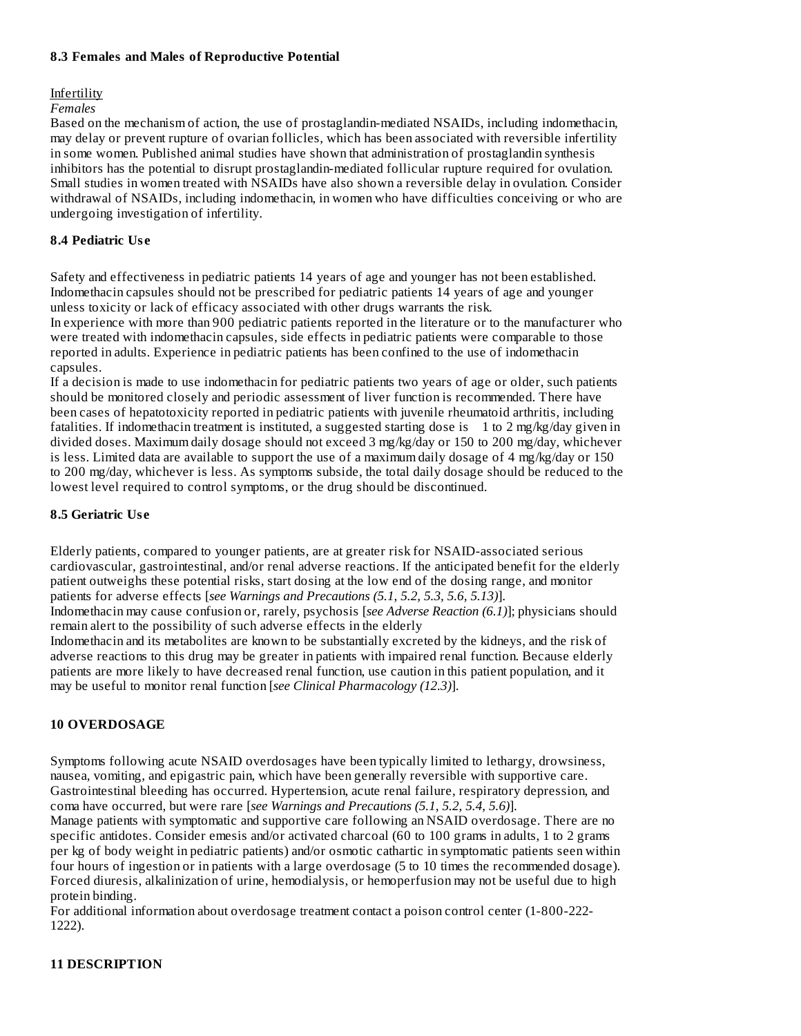#### **8.3 Females and Males of Reproductive Potential**

## **Infertility**

#### *Females*

Based on the mechanism of action, the use of prostaglandin-mediated NSAIDs, including indomethacin, may delay or prevent rupture of ovarian follicles, which has been associated with reversible infertility in some women. Published animal studies have shown that administration of prostaglandin synthesis inhibitors has the potential to disrupt prostaglandin-mediated follicular rupture required for ovulation. Small studies in women treated with NSAIDs have also shown a reversible delay in ovulation. Consider withdrawal of NSAIDs, including indomethacin, in women who have difficulties conceiving or who are undergoing investigation of infertility.

### **8.4 Pediatric Us e**

Safety and effectiveness in pediatric patients 14 years of age and younger has not been established. Indomethacin capsules should not be prescribed for pediatric patients 14 years of age and younger unless toxicity or lack of efficacy associated with other drugs warrants the risk.

In experience with more than 900 pediatric patients reported in the literature or to the manufacturer who were treated with indomethacin capsules, side effects in pediatric patients were comparable to those reported in adults. Experience in pediatric patients has been confined to the use of indomethacin capsules.

If a decision is made to use indomethacin for pediatric patients two years of age or older, such patients should be monitored closely and periodic assessment of liver function is recommended. There have been cases of hepatotoxicity reported in pediatric patients with juvenile rheumatoid arthritis, including fatalities. If indomethacin treatment is instituted, a suggested starting dose is 1 to 2 mg/kg/day given in divided doses. Maximum daily dosage should not exceed 3 mg/kg/day or 150 to 200 mg/day, whichever is less. Limited data are available to support the use of a maximum daily dosage of 4 mg/kg/day or 150 to 200 mg/day, whichever is less. As symptoms subside, the total daily dosage should be reduced to the lowest level required to control symptoms, or the drug should be discontinued.

### **8.5 Geriatric Us e**

Elderly patients, compared to younger patients, are at greater risk for NSAID-associated serious cardiovascular, gastrointestinal, and/or renal adverse reactions. If the anticipated benefit for the elderly patient outweighs these potential risks, start dosing at the low end of the dosing range, and monitor patients for adverse effects [*see Warnings and Precautions (5.1, 5.2, 5.3, 5.6, 5.13)*].

Indomethacin may cause confusion or, rarely, psychosis [*see Adverse Reaction (6.1)*]; physicians should remain alert to the possibility of such adverse effects in the elderly

Indomethacin and its metabolites are known to be substantially excreted by the kidneys, and the risk of adverse reactions to this drug may be greater in patients with impaired renal function. Because elderly patients are more likely to have decreased renal function, use caution in this patient population, and it may be useful to monitor renal function [*see Clinical Pharmacology (12.3)*].

#### **10 OVERDOSAGE**

Symptoms following acute NSAID overdosages have been typically limited to lethargy, drowsiness, nausea, vomiting, and epigastric pain, which have been generally reversible with supportive care. Gastrointestinal bleeding has occurred. Hypertension, acute renal failure, respiratory depression, and coma have occurred, but were rare [*see Warnings and Precautions (5.1, 5.2, 5.4, 5.6)*].

Manage patients with symptomatic and supportive care following an NSAID overdosage. There are no specific antidotes. Consider emesis and/or activated charcoal (60 to 100 grams in adults, 1 to 2 grams per kg of body weight in pediatric patients) and/or osmotic cathartic in symptomatic patients seen within four hours of ingestion or in patients with a large overdosage (5 to 10 times the recommended dosage). Forced diuresis, alkalinization of urine, hemodialysis, or hemoperfusion may not be useful due to high protein binding.

For additional information about overdosage treatment contact a poison control center (1-800-222- 1222).

## **11 DESCRIPTION**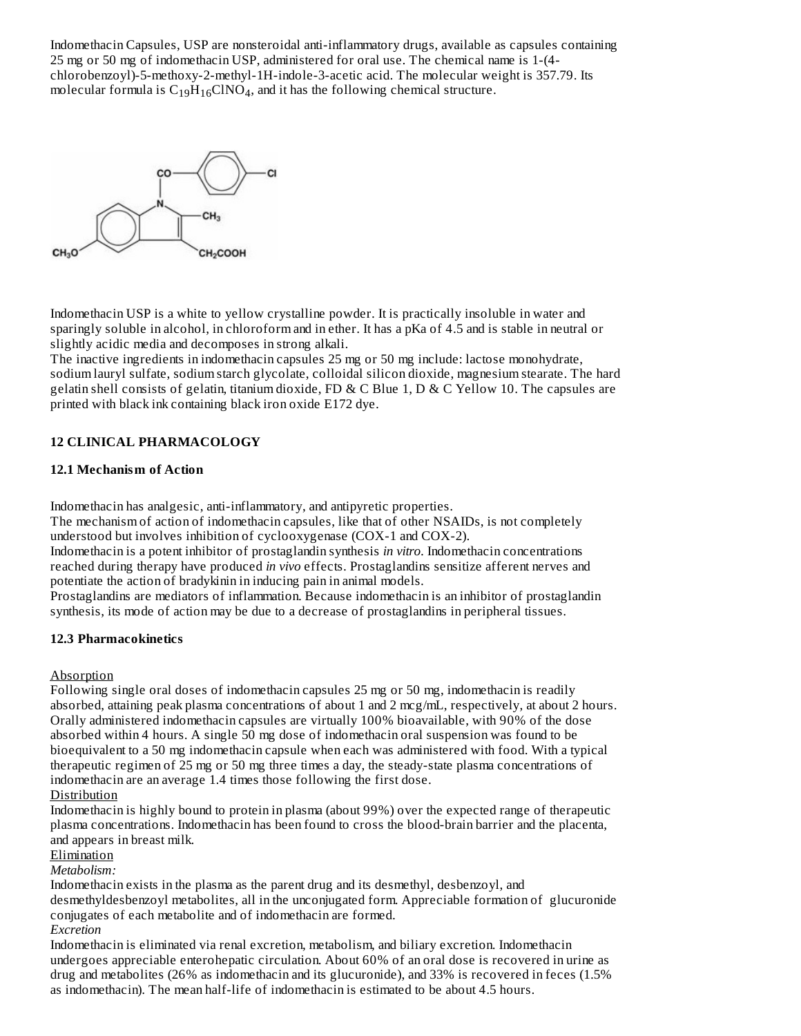Indomethacin Capsules, USP are nonsteroidal anti-inflammatory drugs, available as capsules containing 25 mg or 50 mg of indomethacin USP, administered for oral use. The chemical name is 1-(4 chlorobenzoyl)-5-methoxy-2-methyl-1H-indole-3-acetic acid. The molecular weight is 357.79. Its molecular formula is  $C_{19}H_{16}CINO_4$ , and it has the following chemical structure.



Indomethacin USP is a white to yellow crystalline powder. It is practically insoluble in water and sparingly soluble in alcohol, in chloroform and in ether. It has a pKa of 4.5 and is stable in neutral or slightly acidic media and decomposes in strong alkali.

The inactive ingredients in indomethacin capsules 25 mg or 50 mg include: lactose monohydrate, sodium lauryl sulfate, sodium starch glycolate, colloidal silicon dioxide, magnesium stearate. The hard gelatin shell consists of gelatin, titanium dioxide, FD & C Blue 1, D & C Yellow 10. The capsules are printed with black ink containing black iron oxide E172 dye.

## **12 CLINICAL PHARMACOLOGY**

### **12.1 Mechanism of Action**

Indomethacin has analgesic, anti-inflammatory, and antipyretic properties.

The mechanism of action of indomethacin capsules, like that of other NSAIDs, is not completely understood but involves inhibition of cyclooxygenase (COX-1 and COX-2).

Indomethacin is a potent inhibitor of prostaglandin synthesis *in vitro*. Indomethacin concentrations reached during therapy have produced *in vivo* effects. Prostaglandins sensitize afferent nerves and potentiate the action of bradykinin in inducing pain in animal models.

Prostaglandins are mediators of inflammation. Because indomethacin is an inhibitor of prostaglandin synthesis, its mode of action may be due to a decrease of prostaglandins in peripheral tissues.

#### **12.3 Pharmacokinetics**

#### Absorption

Following single oral doses of indomethacin capsules 25 mg or 50 mg, indomethacin is readily absorbed, attaining peak plasma concentrations of about 1 and 2 mcg/mL, respectively, at about 2 hours. Orally administered indomethacin capsules are virtually 100% bioavailable, with 90% of the dose absorbed within 4 hours. A single 50 mg dose of indomethacin oral suspension was found to be bioequivalent to a 50 mg indomethacin capsule when each was administered with food. With a typical therapeutic regimen of 25 mg or 50 mg three times a day, the steady-state plasma concentrations of indomethacin are an average 1.4 times those following the first dose.

Distribution

Indomethacin is highly bound to protein in plasma (about 99%) over the expected range of therapeutic plasma concentrations. Indomethacin has been found to cross the blood-brain barrier and the placenta, and appears in breast milk.

Elimination

*Metabolism:*

Indomethacin exists in the plasma as the parent drug and its desmethyl, desbenzoyl, and desmethyldesbenzoyl metabolites, all in the unconjugated form. Appreciable formation of glucuronide conjugates of each metabolite and of indomethacin are formed. *Excretion*

Indomethacin is eliminated via renal excretion, metabolism, and biliary excretion. Indomethacin undergoes appreciable enterohepatic circulation. About 60% of an oral dose is recovered in urine as drug and metabolites (26% as indomethacin and its glucuronide), and 33% is recovered in feces (1.5% as indomethacin). The mean half-life of indomethacin is estimated to be about 4.5 hours.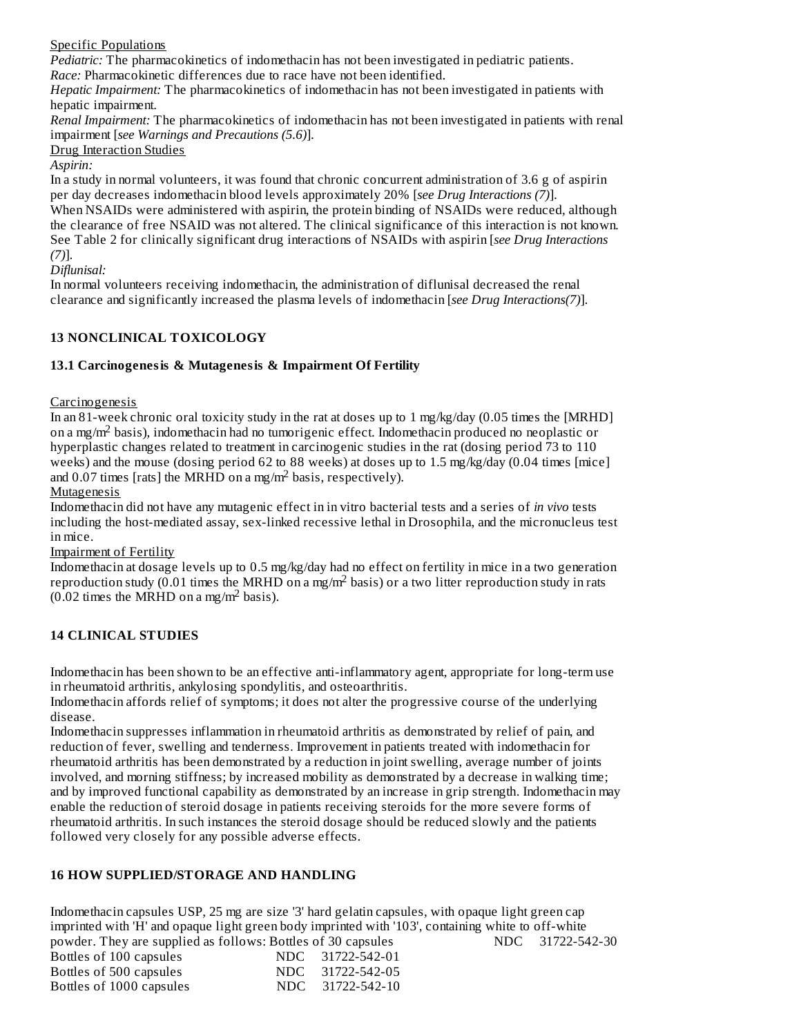## Specific Populations

*Pediatric:* The pharmacokinetics of indomethacin has not been investigated in pediatric patients. *Race:* Pharmacokinetic differences due to race have not been identified.

*Hepatic Impairment:* The pharmacokinetics of indomethacin has not been investigated in patients with hepatic impairment.

*Renal Impairment:* The pharmacokinetics of indomethacin has not been investigated in patients with renal impairment [*see Warnings and Precautions (5.6)*].

Drug Interaction Studies

## *Aspirin:*

In a study in normal volunteers, it was found that chronic concurrent administration of 3.6 g of aspirin per day decreases indomethacin blood levels approximately 20% [*see Drug Interactions (7)*]. When NSAIDs were administered with aspirin, the protein binding of NSAIDs were reduced, although the clearance of free NSAID was not altered. The clinical significance of this interaction is not known. See Table 2 for clinically significant drug interactions of NSAIDs with aspirin [*see Drug Interactions (7)*].

*Diflunisal:*

In normal volunteers receiving indomethacin, the administration of diflunisal decreased the renal clearance and significantly increased the plasma levels of indomethacin [*see Drug Interactions(7)*].

## **13 NONCLINICAL TOXICOLOGY**

## **13.1 Carcinogenesis & Mutagenesis & Impairment Of Fertility**

### **Carcinogenesis**

In an 81-week chronic oral toxicity study in the rat at doses up to 1 mg/kg/day (0.05 times the [MRHD] on a mg/m<sup>2</sup> basis), indomethacin had no tumorigenic effect. Indomethacin produced no neoplastic or hyperplastic changes related to treatment in carcinogenic studies in the rat (dosing period 73 to 110 weeks) and the mouse (dosing period 62 to 88 weeks) at doses up to 1.5 mg/kg/day (0.04 times [mice] and 0.07 times [rats] the MRHD on a mg/m<sup>2</sup> basis, respectively).

### Mutagenesis

Indomethacin did not have any mutagenic effect in in vitro bacterial tests and a series of *in vivo* tests including the host-mediated assay, sex-linked recessive lethal in Drosophila, and the micronucleus test in mice.

## Impairment of Fertility

Indomethacin at dosage levels up to 0.5 mg/kg/day had no effect on fertility in mice in a two generation reproduction study (0.01 times the MRHD on a mg/m<sup>2</sup> basis) or a two litter reproduction study in rats  $(0.02$  times the MRHD on a mg/m<sup>2</sup> basis).

## **14 CLINICAL STUDIES**

Indomethacin has been shown to be an effective anti-inflammatory agent, appropriate for long-term use in rheumatoid arthritis, ankylosing spondylitis, and osteoarthritis.

Indomethacin affords relief of symptoms; it does not alter the progressive course of the underlying disease.

Indomethacin suppresses inflammation in rheumatoid arthritis as demonstrated by relief of pain, and reduction of fever, swelling and tenderness. Improvement in patients treated with indomethacin for rheumatoid arthritis has been demonstrated by a reduction in joint swelling, average number of joints involved, and morning stiffness; by increased mobility as demonstrated by a decrease in walking time; and by improved functional capability as demonstrated by an increase in grip strength. Indomethacin may enable the reduction of steroid dosage in patients receiving steroids for the more severe forms of rheumatoid arthritis. In such instances the steroid dosage should be reduced slowly and the patients followed very closely for any possible adverse effects.

## **16 HOW SUPPLIED/STORAGE AND HANDLING**

Indomethacin capsules USP, 25 mg are size '3' hard gelatin capsules, with opaque light green cap imprinted with 'H' and opaque light green body imprinted with '103', containing white to off-white powder. They are supplied as follows: Bottles of 30 capsules MDC 31722-542-30<br>Bottles of 100 capsules NDC 31722-542-01  $B$ ottles of 100 capsules

| DUIULD UI IUU CUPDUILD   | $11DU - 31722 - 3722 - 91$ |
|--------------------------|----------------------------|
| Bottles of 500 capsules  | NDC 31722-542-05           |
| Bottles of 1000 capsules | NDC 31722-542-10           |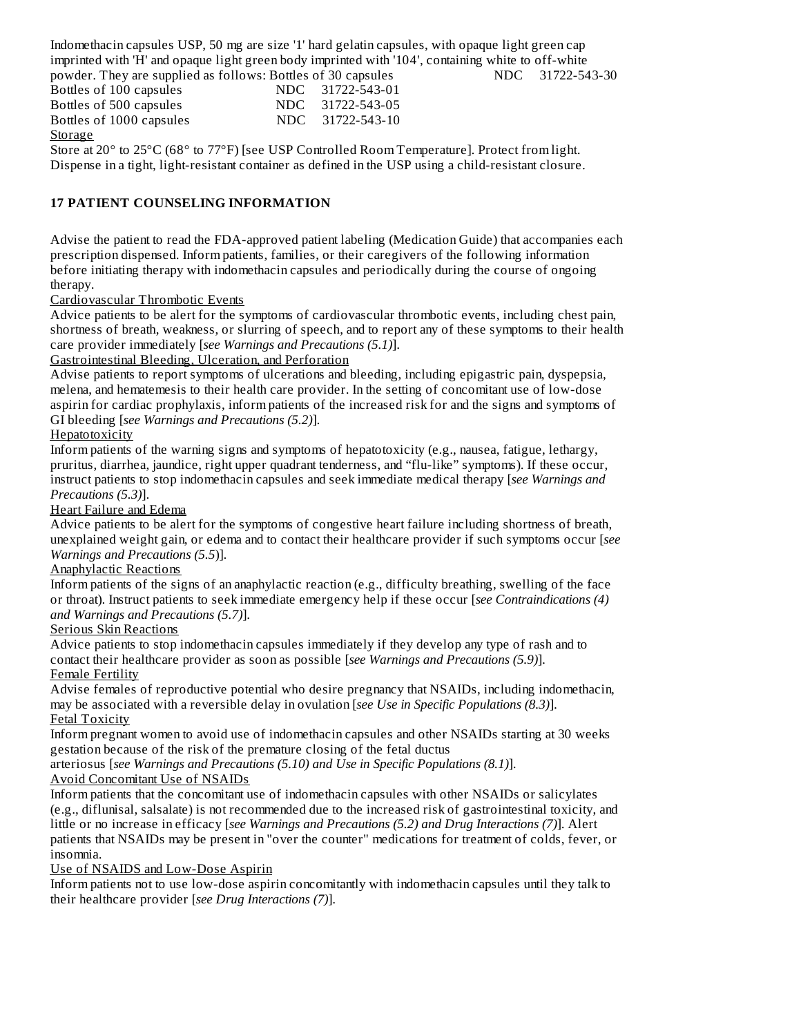Indomethacin capsules USP, 50 mg are size '1' hard gelatin capsules, with opaque light green cap imprinted with 'H' and opaque light green body imprinted with '104', containing white to off-white powder. They are supplied as follows: Bottles of 30 capsules NDC 31722-543-30

Bottles of 100 capsules NDC 31722-543-01 Bottles of 500 capsules NDC 31722-543-05 Bottles of 1000 capsules NDC 31722-543-10 Storage

Store at 20° to 25°C (68° to 77°F) [see USP Controlled Room Temperature]. Protect from light. Dispense in a tight, light-resistant container as defined in the USP using a child-resistant closure.

## **17 PATIENT COUNSELING INFORMATION**

Advise the patient to read the FDA-approved patient labeling (Medication Guide) that accompanies each prescription dispensed. Inform patients, families, or their caregivers of the following information before initiating therapy with indomethacin capsules and periodically during the course of ongoing therapy.

Cardiovascular Thrombotic Events

Advice patients to be alert for the symptoms of cardiovascular thrombotic events, including chest pain, shortness of breath, weakness, or slurring of speech, and to report any of these symptoms to their health care provider immediately [*see Warnings and Precautions (5.1)*].

Gastrointestinal Bleeding, Ulceration, and Perforation

Advise patients to report symptoms of ulcerations and bleeding, including epigastric pain, dyspepsia, melena, and hematemesis to their health care provider. In the setting of concomitant use of low-dose aspirin for cardiac prophylaxis, inform patients of the increased risk for and the signs and symptoms of GI bleeding [*see Warnings and Precautions (5.2)*].

## Hepatotoxicity

Inform patients of the warning signs and symptoms of hepatotoxicity (e.g., nausea, fatigue, lethargy, pruritus, diarrhea, jaundice, right upper quadrant tenderness, and "flu-like" symptoms). If these occur, instruct patients to stop indomethacin capsules and seek immediate medical therapy [*see Warnings and Precautions (5.3)*].

Heart Failure and Edema

Advice patients to be alert for the symptoms of congestive heart failure including shortness of breath, unexplained weight gain, or edema and to contact their healthcare provider if such symptoms occur [*see Warnings and Precautions (5.5*)].

Anaphylactic Reactions

Inform patients of the signs of an anaphylactic reaction (e.g., difficulty breathing, swelling of the face or throat). Instruct patients to seek immediate emergency help if these occur [*see Contraindications (4) and Warnings and Precautions (5.7)*].

Serious Skin Reactions

Advice patients to stop indomethacin capsules immediately if they develop any type of rash and to contact their healthcare provider as soon as possible [*see Warnings and Precautions (5.9)*]. Female Fertility

Advise females of reproductive potential who desire pregnancy that NSAIDs, including indomethacin, may be associated with a reversible delay in ovulation [*see Use in Specific Populations (8.3)*]. Fetal Toxicity

Inform pregnant women to avoid use of indomethacin capsules and other NSAIDs starting at 30 weeks gestation because of the risk of the premature closing of the fetal ductus

arteriosus [*see Warnings and Precautions (5.10) and Use in Specific Populations (8.1)*].

Avoid Concomitant Use of NSAIDs

Inform patients that the concomitant use of indomethacin capsules with other NSAIDs or salicylates (e.g., diflunisal, salsalate) is not recommended due to the increased risk of gastrointestinal toxicity, and little or no increase in efficacy [*see Warnings and Precautions (5.2) and Drug Interactions (7)*]. Alert patients that NSAIDs may be present in "over the counter" medications for treatment of colds, fever, or insomnia.

Use of NSAIDS and Low-Dose Aspirin

Inform patients not to use low-dose aspirin concomitantly with indomethacin capsules until they talk to their healthcare provider [*see Drug Interactions (7)*].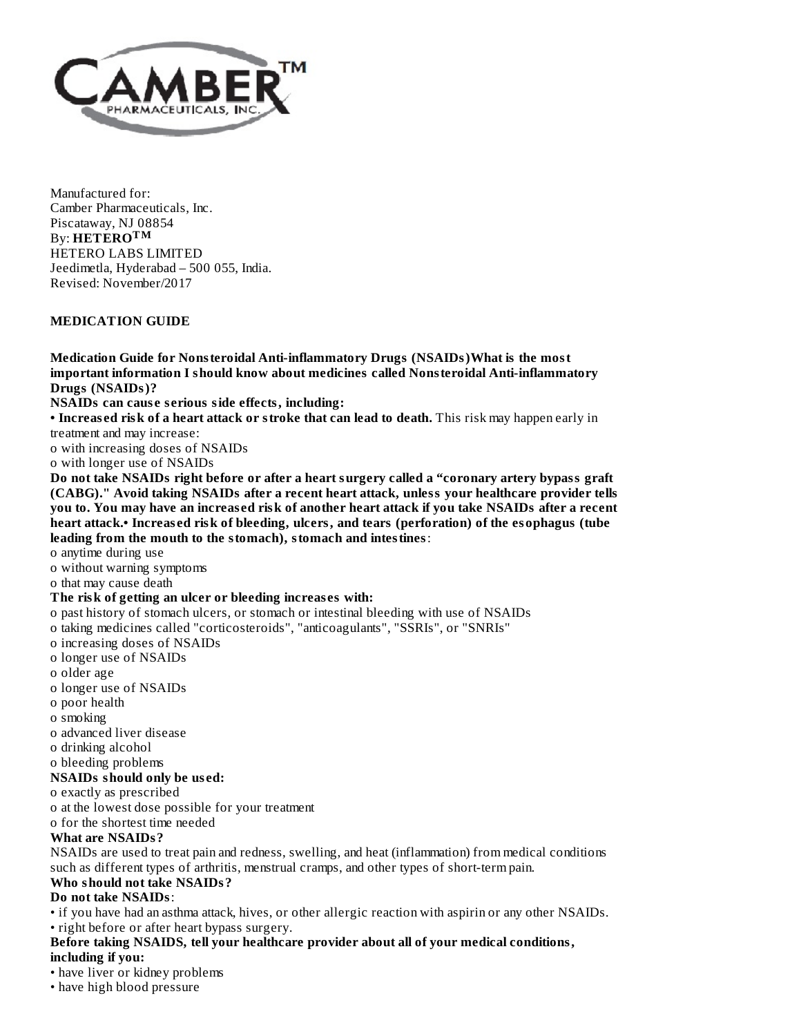

Manufactured for: Camber Pharmaceuticals, Inc. Piscataway, NJ 08854 By: **HETERO TM**HETERO LABS LIMITED Jeedimetla, Hyderabad – 500 055, India. Revised: November/2017

#### **MEDICATION GUIDE**

**Medication Guide for Nonsteroidal Anti-inflammatory Drugs (NSAIDs)What is the most important information I should know about medicines called Nonsteroidal Anti-inflammatory Drugs (NSAIDs)?**

**NSAIDs can caus e s erious side effects, including:**

**• Increas ed risk of a heart attack or stroke that can lead to death.** This risk may happen early in treatment and may increase:

o with increasing doses of NSAIDs

o with longer use of NSAIDs

**Do not take NSAIDs right before or after a heart surgery called a "coronary artery bypass graft (CABG)." Avoid taking NSAIDs after a recent heart attack, unless your healthcare provider tells** you to. You may have an increased risk of another heart attack if you take NSAIDs after a recent **heart attack.• Increas ed risk of bleeding, ulcers, and tears (perforation) of the esophagus (tube leading from the mouth to the stomach), stomach and intestines**:

o anytime during use

o without warning symptoms

o that may cause death

#### **The risk of getting an ulcer or bleeding increas es with:**

o past history of stomach ulcers, or stomach or intestinal bleeding with use of NSAIDs

o taking medicines called "corticosteroids", "anticoagulants", "SSRIs", or "SNRIs"

- o increasing doses of NSAIDs
- o longer use of NSAIDs
- o older age
- o longer use of NSAIDs
- o poor health
- o smoking
- o advanced liver disease
- o drinking alcohol

o bleeding problems

## **NSAIDs should only be us ed:**

o exactly as prescribed

o at the lowest dose possible for your treatment

o for the shortest time needed

#### **What are NSAIDs?**

NSAIDs are used to treat pain and redness, swelling, and heat (inflammation) from medical conditions such as different types of arthritis, menstrual cramps, and other types of short-term pain.

## **Who should not take NSAIDs?**

### **Do not take NSAIDs**:

• if you have had an asthma attack, hives, or other allergic reaction with aspirin or any other NSAIDs.

## • right before or after heart bypass surgery.

## **Before taking NSAIDS, tell your healthcare provider about all of your medical conditions,**

**including if you:**

- have liver or kidney problems
- have high blood pressure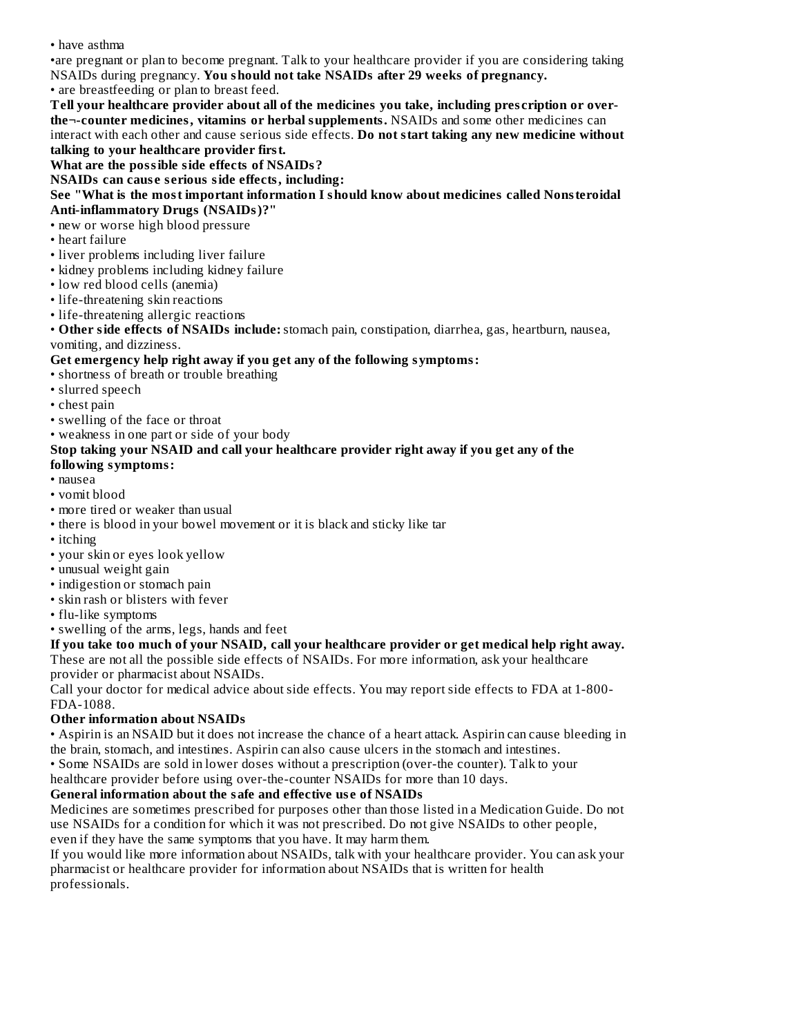• have asthma

•are pregnant or plan to become pregnant. Talk to your healthcare provider if you are considering taking NSAIDs during pregnancy. **You should not take NSAIDs after 29 weeks of pregnancy.**

• are breastfeeding or plan to breast feed.

**Tell your healthcare provider about all of the medicines you take, including pres cription or overthe¬-counter medicines, vitamins or herbal supplements.** NSAIDs and some other medicines can interact with each other and cause serious side effects. **Do not start taking any new medicine without talking to your healthcare provider first.**

## **What are the possible side effects of NSAIDs?**

**NSAIDs can caus e s erious side effects, including:**

#### **See "What is the most important information I should know about medicines called Nonsteroidal Anti-inflammatory Drugs (NSAIDs)?"**

- new or worse high blood pressure
- heart failure
- liver problems including liver failure
- kidney problems including kidney failure
- low red blood cells (anemia)
- life-threatening skin reactions
- life-threatening allergic reactions

• **Other side effects of NSAIDs include:**stomach pain, constipation, diarrhea, gas, heartburn, nausea, vomiting, and dizziness.

### **Get emergency help right away if you get any of the following symptoms:**

- shortness of breath or trouble breathing
- slurred speech
- chest pain
- swelling of the face or throat
- weakness in one part or side of your body

## **Stop taking your NSAID and call your healthcare provider right away if you get any of the**

## **following symptoms:**

- nausea
- vomit blood
- more tired or weaker than usual
- there is blood in your bowel movement or it is black and sticky like tar
- itching
- your skin or eyes look yellow
- unusual weight gain
- indigestion or stomach pain
- skin rash or blisters with fever
- flu-like symptoms
- swelling of the arms, legs, hands and feet

#### **If you take too much of your NSAID, call your healthcare provider or get medical help right away.**

These are not all the possible side effects of NSAIDs. For more information, ask your healthcare provider or pharmacist about NSAIDs.

Call your doctor for medical advice about side effects. You may report side effects to FDA at 1-800- FDA-1088.

## **Other information about NSAIDs**

• Aspirin is an NSAID but it does not increase the chance of a heart attack. Aspirin can cause bleeding in the brain, stomach, and intestines. Aspirin can also cause ulcers in the stomach and intestines.

• Some NSAIDs are sold in lower doses without a prescription (over-the counter). Talk to your

healthcare provider before using over-the-counter NSAIDs for more than 10 days.

## **General information about the safe and effective us e of NSAIDs**

Medicines are sometimes prescribed for purposes other than those listed in a Medication Guide. Do not use NSAIDs for a condition for which it was not prescribed. Do not give NSAIDs to other people, even if they have the same symptoms that you have. It may harm them.

If you would like more information about NSAIDs, talk with your healthcare provider. You can ask your pharmacist or healthcare provider for information about NSAIDs that is written for health professionals.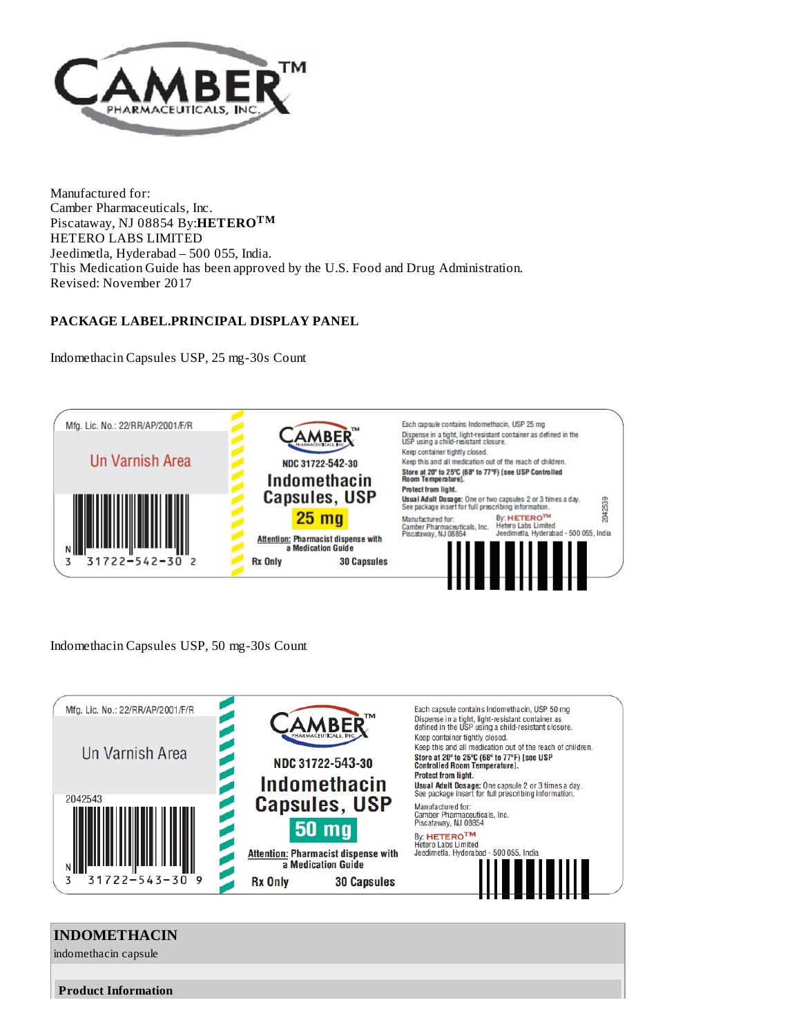

Manufactured for: Camber Pharmaceuticals, Inc. Piscataway, NJ 08854 By:**HETERO TM**HETERO LABS LIMITED Jeedimetla, Hyderabad – 500 055, India. This Medication Guide has been approved by the U.S. Food and Drug Administration. Revised: November 2017

## **PACKAGE LABEL.PRINCIPAL DISPLAY PANEL**

Indomethacin Capsules USP, 25 mg-30s Count



Indomethacin Capsules USP, 50 mg-30s Count



# **INDOMETHACIN** indomethacin capsule **Product Information**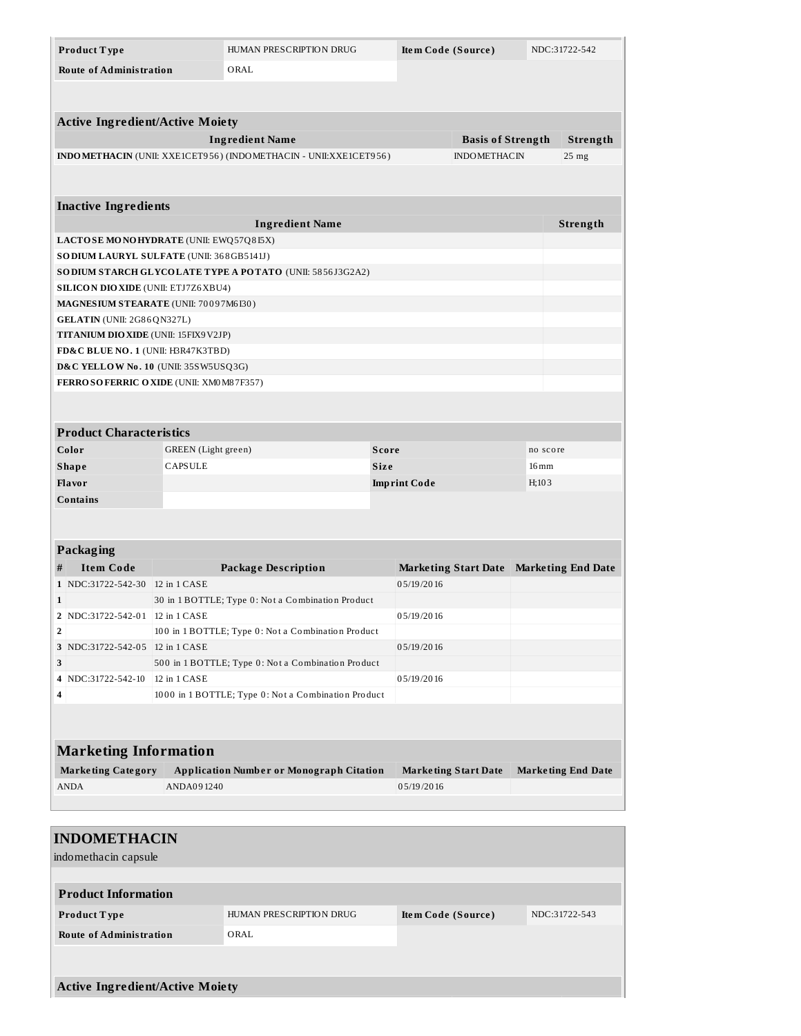| Product Type                                    |                                                    | HUMAN PRESCRIPTION DRUG                                             |       | Item Code (Source)  |                             |          | NDC:31722-542             |
|-------------------------------------------------|----------------------------------------------------|---------------------------------------------------------------------|-------|---------------------|-----------------------------|----------|---------------------------|
| <b>Route of Administration</b>                  | ORAL                                               |                                                                     |       |                     |                             |          |                           |
|                                                 |                                                    |                                                                     |       |                     |                             |          |                           |
|                                                 |                                                    |                                                                     |       |                     |                             |          |                           |
| <b>Active Ingredient/Active Moiety</b>          |                                                    |                                                                     |       |                     |                             |          |                           |
|                                                 |                                                    | <b>Ingredient Name</b>                                              |       |                     | <b>Basis of Strength</b>    |          | Strength                  |
|                                                 |                                                    | INDO METHACIN (UNII: XXE1CET956) (INDO METHACIN - UNII: XXE1CET956) |       |                     | <b>INDOMETHACIN</b>         |          | $25 \text{ mg}$           |
|                                                 |                                                    |                                                                     |       |                     |                             |          |                           |
|                                                 |                                                    |                                                                     |       |                     |                             |          |                           |
| <b>Inactive Ingredients</b>                     |                                                    |                                                                     |       |                     |                             |          |                           |
|                                                 |                                                    | <b>Ingredient Name</b>                                              |       |                     |                             |          | Strength                  |
| LACTOSE MONOHYDRATE (UNII: EWQ57Q8I5X)          |                                                    |                                                                     |       |                     |                             |          |                           |
| SODIUM LAURYL SULFATE (UNII: 368GB5141J)        |                                                    |                                                                     |       |                     |                             |          |                           |
|                                                 |                                                    | SODIUM STARCH GLYCOLATE TYPE A POTATO (UNII: 5856J3G2A2)            |       |                     |                             |          |                           |
| SILICON DIOXIDE (UNII: ETJ7Z6XBU4)              |                                                    |                                                                     |       |                     |                             |          |                           |
| MAGNESIUM STEARATE (UNII: 70097M6I30)           |                                                    |                                                                     |       |                     |                             |          |                           |
| GELATIN (UNII: 2G86QN327L)                      |                                                    |                                                                     |       |                     |                             |          |                           |
| TITANIUM DIO XIDE (UNII: 15FIX9 V2JP)           |                                                    |                                                                     |       |                     |                             |          |                           |
| FD&C BLUE NO. 1 (UNII: H3R47K3TBD)              |                                                    |                                                                     |       |                     |                             |          |                           |
| D&C YELLOW No. 10 (UNII: 35SW5USQ3G)            |                                                    |                                                                     |       |                     |                             |          |                           |
| FERROSOFERRIC OXIDE (UNII: XM0M87F357)          |                                                    |                                                                     |       |                     |                             |          |                           |
|                                                 |                                                    |                                                                     |       |                     |                             |          |                           |
|                                                 |                                                    |                                                                     |       |                     |                             |          |                           |
| <b>Product Characteristics</b>                  |                                                    |                                                                     |       |                     |                             |          |                           |
| Color                                           | GREEN (Light green)                                |                                                                     | Score |                     |                             | no score |                           |
| <b>Shape</b>                                    | <b>CAPSULE</b>                                     |                                                                     | Size  |                     |                             | 16 mm    |                           |
| Flavor                                          |                                                    |                                                                     |       | <b>Imprint Code</b> |                             | H;103    |                           |
| Contains                                        |                                                    |                                                                     |       |                     |                             |          |                           |
|                                                 |                                                    |                                                                     |       |                     |                             |          |                           |
|                                                 |                                                    |                                                                     |       |                     |                             |          |                           |
| <b>Packaging</b>                                |                                                    |                                                                     |       |                     |                             |          |                           |
| <b>Item Code</b><br>#                           |                                                    | <b>Package Description</b>                                          |       |                     | <b>Marketing Start Date</b> |          | <b>Marketing End Date</b> |
| 1 NDC:31722-542-30 12 in 1 CASE<br>$\mathbf{1}$ |                                                    | 30 in 1 BOTTLE; Type 0: Not a Combination Product                   |       | 05/19/2016          |                             |          |                           |
| 2 NDC:31722-542-01                              | 12 in 1 CASE                                       |                                                                     |       | 05/19/2016          |                             |          |                           |
| $\overline{2}$                                  |                                                    | 100 in 1 BOTTLE; Type 0: Not a Combination Product                  |       |                     |                             |          |                           |
| 3 NDC:31722-542-05   12 in 1 CASE               |                                                    |                                                                     |       | 05/19/2016          |                             |          |                           |
| 3                                               | 500 in 1 BOTTLE; Type 0: Not a Combination Product |                                                                     |       |                     |                             |          |                           |
| NDC:31722-542-10<br>4                           | 12 in 1 CASE<br>05/19/2016                         |                                                                     |       |                     |                             |          |                           |
| 4                                               |                                                    | 1000 in 1 BOTTLE; Type 0: Not a Combination Product                 |       |                     |                             |          |                           |
|                                                 |                                                    |                                                                     |       |                     |                             |          |                           |
|                                                 |                                                    |                                                                     |       |                     |                             |          |                           |
| <b>Marketing Information</b>                    |                                                    |                                                                     |       |                     |                             |          |                           |
| <b>Marketing Category</b>                       |                                                    | <b>Application Number or Monograph Citation</b>                     |       |                     | <b>Marketing Start Date</b> |          | <b>Marketing End Date</b> |
| <b>ANDA</b>                                     | ANDA091240                                         |                                                                     |       | 05/19/2016          |                             |          |                           |
|                                                 |                                                    |                                                                     |       |                     |                             |          |                           |
|                                                 |                                                    |                                                                     |       |                     |                             |          |                           |
| <b>INDOMETHACIN</b>                             |                                                    |                                                                     |       |                     |                             |          |                           |
|                                                 |                                                    |                                                                     |       |                     |                             |          |                           |
| indomethacin capsule                            |                                                    |                                                                     |       |                     |                             |          |                           |
|                                                 |                                                    |                                                                     |       |                     |                             |          |                           |
| <b>Product Information</b>                      |                                                    |                                                                     |       |                     |                             |          |                           |
| Product Type<br>HUMAN PRESCRIPTION DRUG         |                                                    |                                                                     |       | Item Code (Source)  |                             |          | NDC:31722-543             |
| <b>Route of Administration</b><br>ORAL          |                                                    |                                                                     |       |                     |                             |          |                           |
|                                                 |                                                    |                                                                     |       |                     |                             |          |                           |
|                                                 |                                                    |                                                                     |       |                     |                             |          |                           |
| <b>Active Ingredient/Active Moiety</b>          |                                                    |                                                                     |       |                     |                             |          |                           |
|                                                 |                                                    |                                                                     |       |                     |                             |          |                           |
|                                                 |                                                    |                                                                     |       |                     |                             |          |                           |